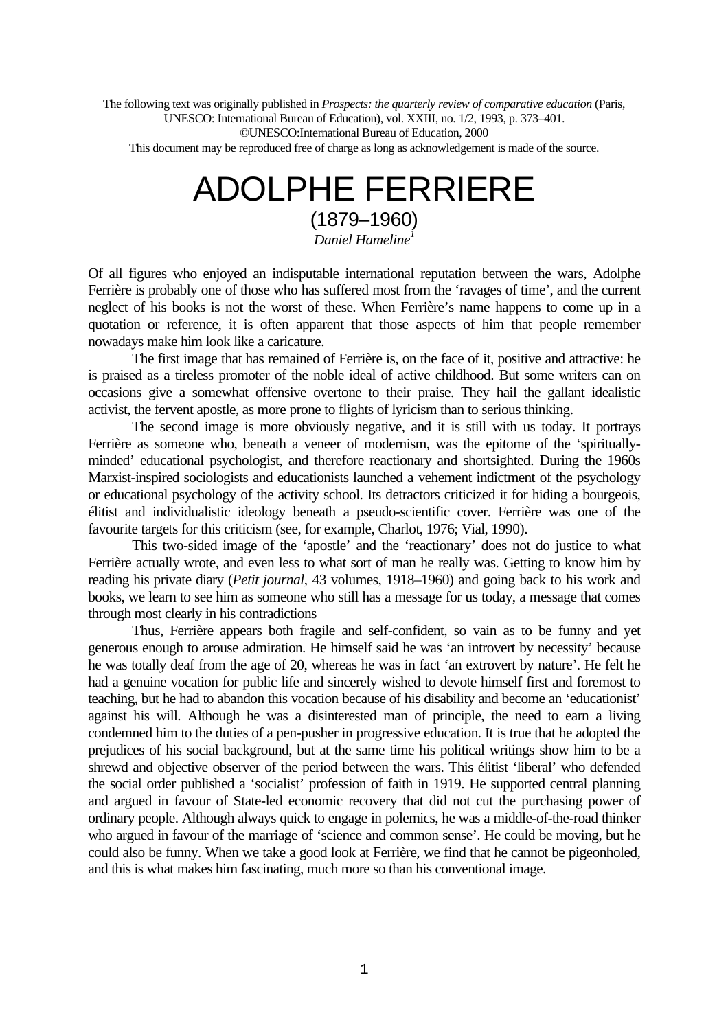The following text was originally published in *Prospects: the quarterly review of comparative education* (Paris, UNESCO: International Bureau of Education), vol. XXIII, no. 1/2, 1993, p. 373–401. ©UNESCO:International Bureau of Education, 2000

This document may be reproduced free of charge as long as acknowledgement is made of the source.

# ADOLPHE FERRIERE (1879–1960)

*Daniel Hameline<sup>1</sup>*

Of all figures who enjoyed an indisputable international reputation between the wars, Adolphe Ferrière is probably one of those who has suffered most from the 'ravages of time', and the current neglect of his books is not the worst of these. When Ferrière's name happens to come up in a quotation or reference, it is often apparent that those aspects of him that people remember nowadays make him look like a caricature.

The first image that has remained of Ferrière is, on the face of it, positive and attractive: he is praised as a tireless promoter of the noble ideal of active childhood. But some writers can on occasions give a somewhat offensive overtone to their praise. They hail the gallant idealistic activist, the fervent apostle, as more prone to flights of lyricism than to serious thinking.

The second image is more obviously negative, and it is still with us today. It portrays Ferrière as someone who, beneath a veneer of modernism, was the epitome of the 'spirituallyminded' educational psychologist, and therefore reactionary and shortsighted. During the 1960s Marxist-inspired sociologists and educationists launched a vehement indictment of the psychology or educational psychology of the activity school. Its detractors criticized it for hiding a bourgeois, élitist and individualistic ideology beneath a pseudo-scientific cover. Ferrière was one of the favourite targets for this criticism (see, for example, Charlot, 1976; Vial, 1990).

This two-sided image of the 'apostle' and the 'reactionary' does not do justice to what Ferrière actually wrote, and even less to what sort of man he really was. Getting to know him by reading his private diary (*Petit journal*, 43 volumes, 1918–1960) and going back to his work and books, we learn to see him as someone who still has a message for us today, a message that comes through most clearly in his contradictions

Thus, Ferrière appears both fragile and self-confident, so vain as to be funny and yet generous enough to arouse admiration. He himself said he was 'an introvert by necessity' because he was totally deaf from the age of 20, whereas he was in fact 'an extrovert by nature'. He felt he had a genuine vocation for public life and sincerely wished to devote himself first and foremost to teaching, but he had to abandon this vocation because of his disability and become an 'educationist' against his will. Although he was a disinterested man of principle, the need to earn a living condemned him to the duties of a pen-pusher in progressive education. It is true that he adopted the prejudices of his social background, but at the same time his political writings show him to be a shrewd and objective observer of the period between the wars. This élitist 'liberal' who defended the social order published a 'socialist' profession of faith in 1919. He supported central planning and argued in favour of State-led economic recovery that did not cut the purchasing power of ordinary people. Although always quick to engage in polemics, he was a middle-of-the-road thinker who argued in favour of the marriage of 'science and common sense'. He could be moving, but he could also be funny. When we take a good look at Ferrière, we find that he cannot be pigeonholed, and this is what makes him fascinating, much more so than his conventional image.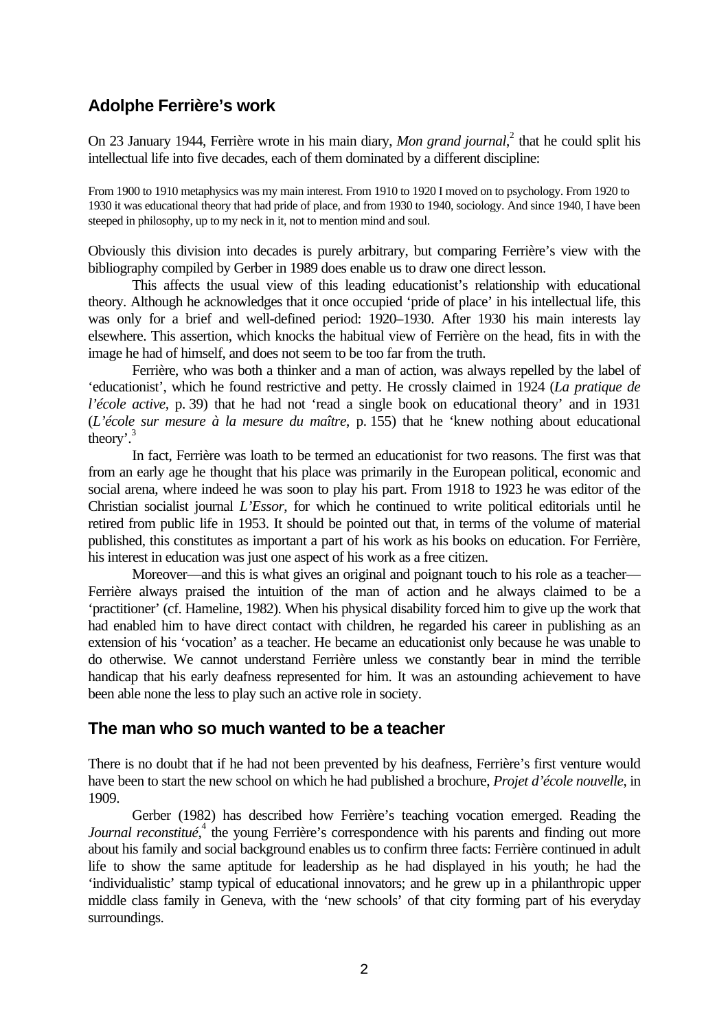# **Adolphe Ferrière's work**

On 23 January 1944, Ferrière wrote in his main diary, *Mon grand journal*,<sup>2</sup> that he could split his intellectual life into five decades, each of them dominated by a different discipline:

From 1900 to 1910 metaphysics was my main interest. From 1910 to 1920 I moved on to psychology. From 1920 to 1930 it was educational theory that had pride of place, and from 1930 to 1940, sociology. And since 1940, I have been steeped in philosophy, up to my neck in it, not to mention mind and soul.

Obviously this division into decades is purely arbitrary, but comparing Ferrière's view with the bibliography compiled by Gerber in 1989 does enable us to draw one direct lesson.

This affects the usual view of this leading educationist's relationship with educational theory. Although he acknowledges that it once occupied 'pride of place' in his intellectual life, this was only for a brief and well-defined period: 1920–1930. After 1930 his main interests lay elsewhere. This assertion, which knocks the habitual view of Ferrière on the head, fits in with the image he had of himself, and does not seem to be too far from the truth.

Ferrière, who was both a thinker and a man of action, was always repelled by the label of 'educationist', which he found restrictive and petty. He crossly claimed in 1924 (*La pratique de l'école active*, p. 39) that he had not 'read a single book on educational theory' and in 1931 (*L'école sur mesure à la mesure du maître*, p. 155) that he 'knew nothing about educational theory'. 3

In fact, Ferrière was loath to be termed an educationist for two reasons. The first was that from an early age he thought that his place was primarily in the European political, economic and social arena, where indeed he was soon to play his part. From 1918 to 1923 he was editor of the Christian socialist journal *L'Essor*, for which he continued to write political editorials until he retired from public life in 1953. It should be pointed out that, in terms of the volume of material published, this constitutes as important a part of his work as his books on education. For Ferrière, his interest in education was just one aspect of his work as a free citizen.

Moreover—and this is what gives an original and poignant touch to his role as a teacher— Ferrière always praised the intuition of the man of action and he always claimed to be a 'practitioner' (cf. Hameline, 1982). When his physical disability forced him to give up the work that had enabled him to have direct contact with children, he regarded his career in publishing as an extension of his 'vocation' as a teacher. He became an educationist only because he was unable to do otherwise. We cannot understand Ferrière unless we constantly bear in mind the terrible handicap that his early deafness represented for him. It was an astounding achievement to have been able none the less to play such an active role in society.

## **The man who so much wanted to be a teacher**

There is no doubt that if he had not been prevented by his deafness, Ferrière's first venture would have been to start the new school on which he had published a brochure, *Projet d'école nouvelle*, in 1909.

Gerber (1982) has described how Ferrière's teaching vocation emerged. Reading the Journal reconstitué,<sup>4</sup> the young Ferrière's correspondence with his parents and finding out more about his family and social background enables us to confirm three facts: Ferrière continued in adult life to show the same aptitude for leadership as he had displayed in his youth; he had the 'individualistic' stamp typical of educational innovators; and he grew up in a philanthropic upper middle class family in Geneva, with the 'new schools' of that city forming part of his everyday surroundings.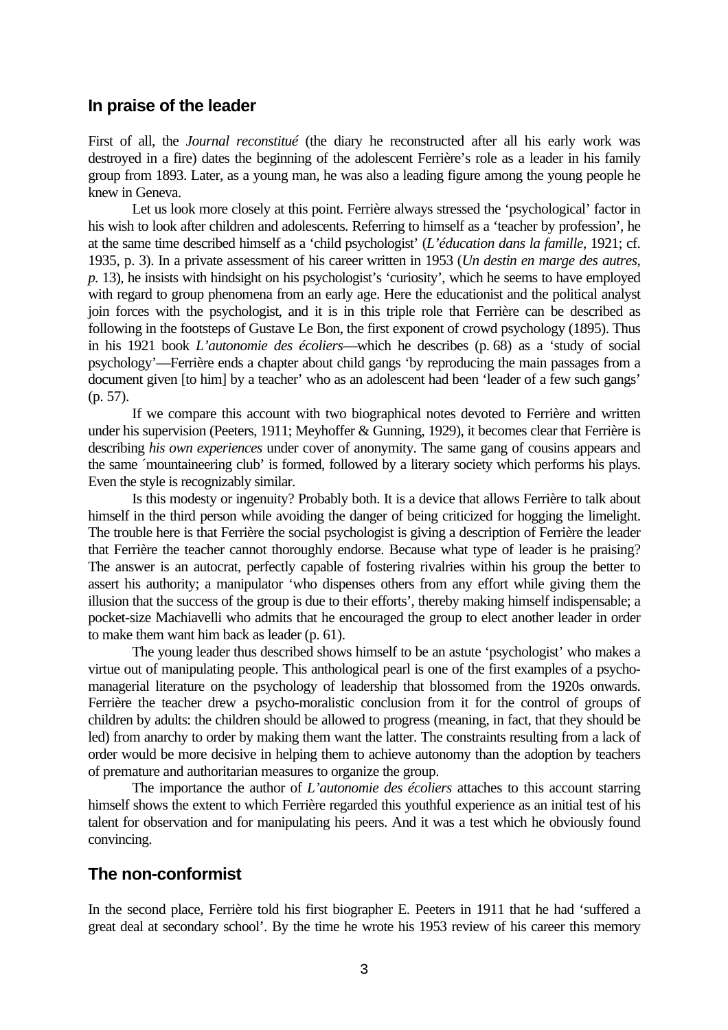## **In praise of the leader**

First of all, the *Journal reconstitué* (the diary he reconstructed after all his early work was destroyed in a fire) dates the beginning of the adolescent Ferrière's role as a leader in his family group from 1893. Later, as a young man, he was also a leading figure among the young people he knew in Geneva.

Let us look more closely at this point. Ferrière always stressed the 'psychological' factor in his wish to look after children and adolescents. Referring to himself as a 'teacher by profession', he at the same time described himself as a 'child psychologist' (*L'éducation dans la famille*, 1921; cf. 1935, p. 3). In a private assessment of his career written in 1953 (*Un destin en marge des autres, p.* 13), he insists with hindsight on his psychologist's 'curiosity', which he seems to have employed with regard to group phenomena from an early age. Here the educationist and the political analyst join forces with the psychologist, and it is in this triple role that Ferrière can be described as following in the footsteps of Gustave Le Bon, the first exponent of crowd psychology (1895). Thus in his 1921 book *L'autonomie des écoliers*—which he describes (p. 68) as a 'study of social psychology'—Ferrière ends a chapter about child gangs 'by reproducing the main passages from a document given [to him] by a teacher' who as an adolescent had been 'leader of a few such gangs' (p. 57).

If we compare this account with two biographical notes devoted to Ferrière and written under his supervision (Peeters, 1911; Meyhoffer & Gunning, 1929), it becomes clear that Ferrière is describing *his own experiences* under cover of anonymity. The same gang of cousins appears and the same ´mountaineering club' is formed, followed by a literary society which performs his plays. Even the style is recognizably similar.

Is this modesty or ingenuity? Probably both. It is a device that allows Ferrière to talk about himself in the third person while avoiding the danger of being criticized for hogging the limelight. The trouble here is that Ferrière the social psychologist is giving a description of Ferrière the leader that Ferrière the teacher cannot thoroughly endorse. Because what type of leader is he praising? The answer is an autocrat, perfectly capable of fostering rivalries within his group the better to assert his authority; a manipulator 'who dispenses others from any effort while giving them the illusion that the success of the group is due to their efforts', thereby making himself indispensable; a pocket-size Machiavelli who admits that he encouraged the group to elect another leader in order to make them want him back as leader (p. 61).

The young leader thus described shows himself to be an astute 'psychologist' who makes a virtue out of manipulating people. This anthological pearl is one of the first examples of a psychomanagerial literature on the psychology of leadership that blossomed from the 1920s onwards. Ferrière the teacher drew a psycho-moralistic conclusion from it for the control of groups of children by adults: the children should be allowed to progress (meaning, in fact, that they should be led) from anarchy to order by making them want the latter. The constraints resulting from a lack of order would be more decisive in helping them to achieve autonomy than the adoption by teachers of premature and authoritarian measures to organize the group.

The importance the author of *L'autonomie des écoliers* attaches to this account starring himself shows the extent to which Ferrière regarded this youthful experience as an initial test of his talent for observation and for manipulating his peers. And it was a test which he obviously found convincing.

## **The non-conformist**

In the second place, Ferrière told his first biographer E. Peeters in 1911 that he had 'suffered a great deal at secondary school'. By the time he wrote his 1953 review of his career this memory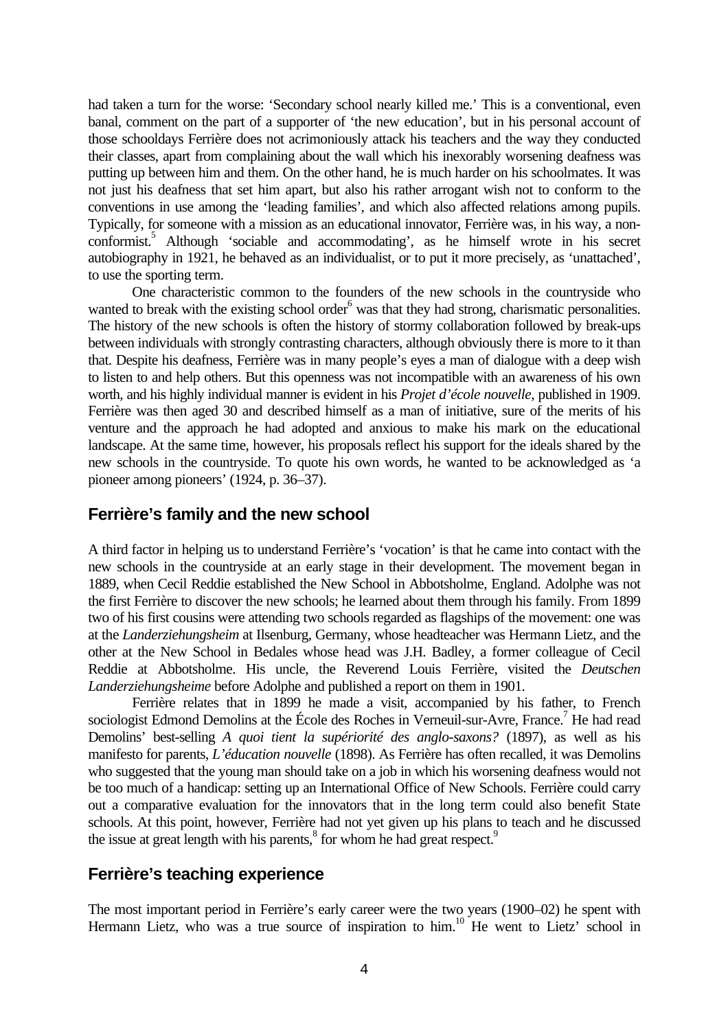had taken a turn for the worse: 'Secondary school nearly killed me.' This is a conventional, even banal, comment on the part of a supporter of 'the new education', but in his personal account of those schooldays Ferrière does not acrimoniously attack his teachers and the way they conducted their classes, apart from complaining about the wall which his inexorably worsening deafness was putting up between him and them. On the other hand, he is much harder on his schoolmates. It was not just his deafness that set him apart, but also his rather arrogant wish not to conform to the conventions in use among the 'leading families', and which also affected relations among pupils. Typically, for someone with a mission as an educational innovator, Ferrière was, in his way, a nonconformist.<sup>5</sup> Although 'sociable and accommodating', as he himself wrote in his secret autobiography in 1921, he behaved as an individualist, or to put it more precisely, as 'unattached', to use the sporting term.

One characteristic common to the founders of the new schools in the countryside who wanted to break with the existing school order<sup>6</sup> was that they had strong, charismatic personalities. The history of the new schools is often the history of stormy collaboration followed by break-ups between individuals with strongly contrasting characters, although obviously there is more to it than that. Despite his deafness, Ferrière was in many people's eyes a man of dialogue with a deep wish to listen to and help others. But this openness was not incompatible with an awareness of his own worth, and his highly individual manner is evident in his *Projet d'école nouvelle*, published in 1909. Ferrière was then aged 30 and described himself as a man of initiative, sure of the merits of his venture and the approach he had adopted and anxious to make his mark on the educational landscape. At the same time, however, his proposals reflect his support for the ideals shared by the new schools in the countryside. To quote his own words, he wanted to be acknowledged as 'a pioneer among pioneers' (1924, p. 36–37).

## **Ferrière's family and the new school**

A third factor in helping us to understand Ferrière's 'vocation' is that he came into contact with the new schools in the countryside at an early stage in their development. The movement began in 1889, when Cecil Reddie established the New School in Abbotsholme, England. Adolphe was not the first Ferrière to discover the new schools; he learned about them through his family. From 1899 two of his first cousins were attending two schools regarded as flagships of the movement: one was at the *Landerziehungsheim* at Ilsenburg, Germany, whose headteacher was Hermann Lietz, and the other at the New School in Bedales whose head was J.H. Badley, a former colleague of Cecil Reddie at Abbotsholme. His uncle, the Reverend Louis Ferrière, visited the *Deutschen Landerziehungsheime* before Adolphe and published a report on them in 1901.

Ferrière relates that in 1899 he made a visit, accompanied by his father, to French sociologist Edmond Demolins at the École des Roches in Verneuil-sur-Avre, France.<sup>7</sup> He had read Demolins' best-selling *A quoi tient la supériorité des anglo-saxons?* (1897), as well as his manifesto for parents, *L'éducation nouvelle* (1898). As Ferrière has often recalled, it was Demolins who suggested that the young man should take on a job in which his worsening deafness would not be too much of a handicap: setting up an International Office of New Schools. Ferrière could carry out a comparative evaluation for the innovators that in the long term could also benefit State schools. At this point, however, Ferrière had not yet given up his plans to teach and he discussed the issue at great length with his parents,<sup>8</sup> for whom he had great respect.<sup>9</sup>

## **Ferrière's teaching experience**

The most important period in Ferrière's early career were the two years (1900–02) he spent with Hermann Lietz, who was a true source of inspiration to him.<sup>10</sup> He went to Lietz' school in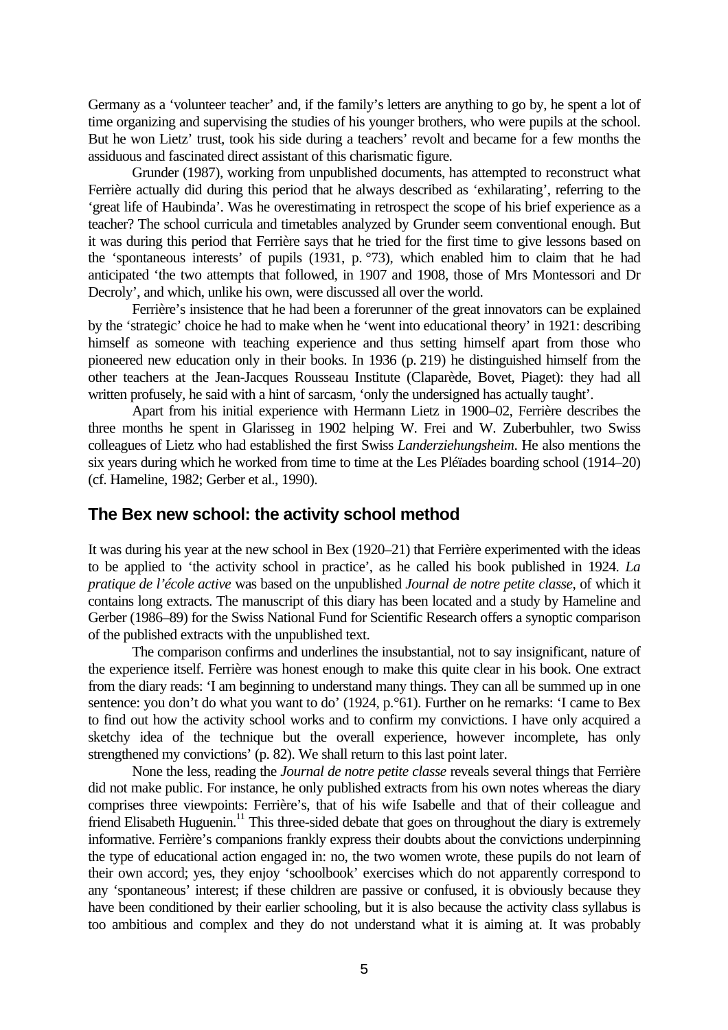Germany as a 'volunteer teacher' and, if the family's letters are anything to go by, he spent a lot of time organizing and supervising the studies of his younger brothers, who were pupils at the school. But he won Lietz' trust, took his side during a teachers' revolt and became for a few months the assiduous and fascinated direct assistant of this charismatic figure.

Grunder (1987), working from unpublished documents, has attempted to reconstruct what Ferrière actually did during this period that he always described as 'exhilarating', referring to the 'great life of Haubinda'. Was he overestimating in retrospect the scope of his brief experience as a teacher? The school curricula and timetables analyzed by Grunder seem conventional enough. But it was during this period that Ferrière says that he tried for the first time to give lessons based on the 'spontaneous interests' of pupils (1931, p. °73), which enabled him to claim that he had anticipated 'the two attempts that followed, in 1907 and 1908, those of Mrs Montessori and Dr Decroly', and which, unlike his own, were discussed all over the world.

Ferrière's insistence that he had been a forerunner of the great innovators can be explained by the 'strategic' choice he had to make when he 'went into educational theory' in 1921: describing himself as someone with teaching experience and thus setting himself apart from those who pioneered new education only in their books. In 1936 (p. 219) he distinguished himself from the other teachers at the Jean-Jacques Rousseau Institute (Claparède, Bovet, Piaget): they had all written profusely, he said with a hint of sarcasm, 'only the undersigned has actually taught'.

Apart from his initial experience with Hermann Lietz in 1900–02, Ferrière describes the three months he spent in Glarisseg in 1902 helping W. Frei and W. Zuberbuhler, two Swiss colleagues of Lietz who had established the first Swiss *Landerziehungsheim*. He also mentions the six years during which he worked from time to time at the Les Pléïades boarding school (1914–20) (cf. Hameline, 1982; Gerber et al., 1990).

## **The Bex new school: the activity school method**

It was during his year at the new school in Bex (1920–21) that Ferrière experimented with the ideas to be applied to 'the activity school in practice', as he called his book published in 1924. *La pratique de l'école active* was based on the unpublished *Journal de notre petite classe*, of which it contains long extracts. The manuscript of this diary has been located and a study by Hameline and Gerber (1986–89) for the Swiss National Fund for Scientific Research offers a synoptic comparison of the published extracts with the unpublished text.

The comparison confirms and underlines the insubstantial, not to say insignificant, nature of the experience itself. Ferrière was honest enough to make this quite clear in his book. One extract from the diary reads: 'I am beginning to understand many things. They can all be summed up in one sentence: you don't do what you want to do' (1924, p. °61). Further on he remarks: 'I came to Bex to find out how the activity school works and to confirm my convictions. I have only acquired a sketchy idea of the technique but the overall experience, however incomplete, has only strengthened my convictions' (p. 82). We shall return to this last point later.

None the less, reading the *Journal de notre petite classe* reveals several things that Ferrière did not make public. For instance, he only published extracts from his own notes whereas the diary comprises three viewpoints: Ferrière's, that of his wife Isabelle and that of their colleague and friend Elisabeth Huguenin.<sup>11</sup> This three-sided debate that goes on throughout the diary is extremely informative. Ferrière's companions frankly express their doubts about the convictions underpinning the type of educational action engaged in: no, the two women wrote, these pupils do not learn of their own accord; yes, they enjoy 'schoolbook' exercises which do not apparently correspond to any 'spontaneous' interest; if these children are passive or confused, it is obviously because they have been conditioned by their earlier schooling, but it is also because the activity class syllabus is too ambitious and complex and they do not understand what it is aiming at. It was probably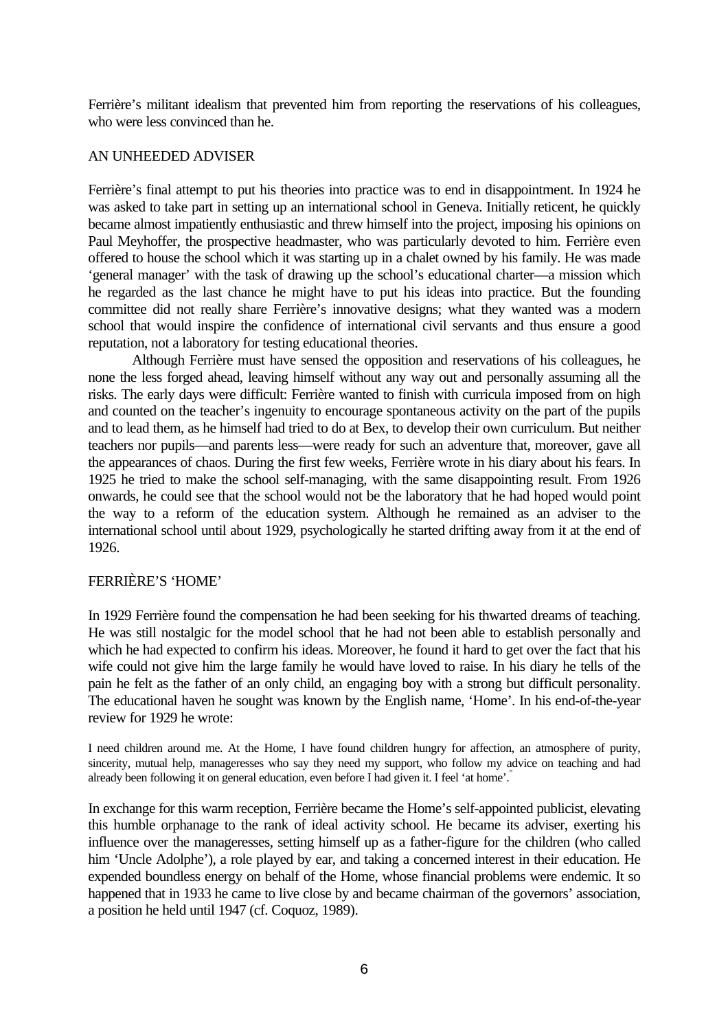Ferrière's militant idealism that prevented him from reporting the reservations of his colleagues, who were less convinced than he.

#### AN UNHEEDED ADVISER

Ferrière's final attempt to put his theories into practice was to end in disappointment. In 1924 he was asked to take part in setting up an international school in Geneva. Initially reticent, he quickly became almost impatiently enthusiastic and threw himself into the project, imposing his opinions on Paul Meyhoffer, the prospective headmaster, who was particularly devoted to him. Ferrière even offered to house the school which it was starting up in a chalet owned by his family. He was made 'general manager' with the task of drawing up the school's educational charter—a mission which he regarded as the last chance he might have to put his ideas into practice. But the founding committee did not really share Ferrière's innovative designs; what they wanted was a modern school that would inspire the confidence of international civil servants and thus ensure a good reputation, not a laboratory for testing educational theories.

Although Ferrière must have sensed the opposition and reservations of his colleagues, he none the less forged ahead, leaving himself without any way out and personally assuming all the risks. The early days were difficult: Ferrière wanted to finish with curricula imposed from on high and counted on the teacher's ingenuity to encourage spontaneous activity on the part of the pupils and to lead them, as he himself had tried to do at Bex, to develop their own curriculum. But neither teachers nor pupils—and parents less—were ready for such an adventure that, moreover, gave all the appearances of chaos. During the first few weeks, Ferrière wrote in his diary about his fears. In 1925 he tried to make the school self-managing, with the same disappointing result. From 1926 onwards, he could see that the school would not be the laboratory that he had hoped would point the way to a reform of the education system. Although he remained as an adviser to the international school until about 1929, psychologically he started drifting away from it at the end of 1926.

#### FERRIÈRE'S 'HOME'

In 1929 Ferrière found the compensation he had been seeking for his thwarted dreams of teaching. He was still nostalgic for the model school that he had not been able to establish personally and which he had expected to confirm his ideas. Moreover, he found it hard to get over the fact that his wife could not give him the large family he would have loved to raise. In his diary he tells of the pain he felt as the father of an only child, an engaging boy with a strong but difficult personality. The educational haven he sought was known by the English name, 'Home'. In his end-of-the-year review for 1929 he wrote:

I need children around me. At the Home, I have found children hungry for affection, an atmosphere of purity, sincerity, mutual help, manageresses who say they need my support, who follow my advice on teaching and had already been following it on general education, even before I had given it. I feel 'at home'.

In exchange for this warm reception, Ferrière became the Home's self-appointed publicist, elevating this humble orphanage to the rank of ideal activity school. He became its adviser, exerting his influence over the manageresses, setting himself up as a father-figure for the children (who called him 'Uncle Adolphe'), a role played by ear, and taking a concerned interest in their education. He expended boundless energy on behalf of the Home, whose financial problems were endemic. It so happened that in 1933 he came to live close by and became chairman of the governors' association, a position he held until 1947 (cf. Coquoz, 1989).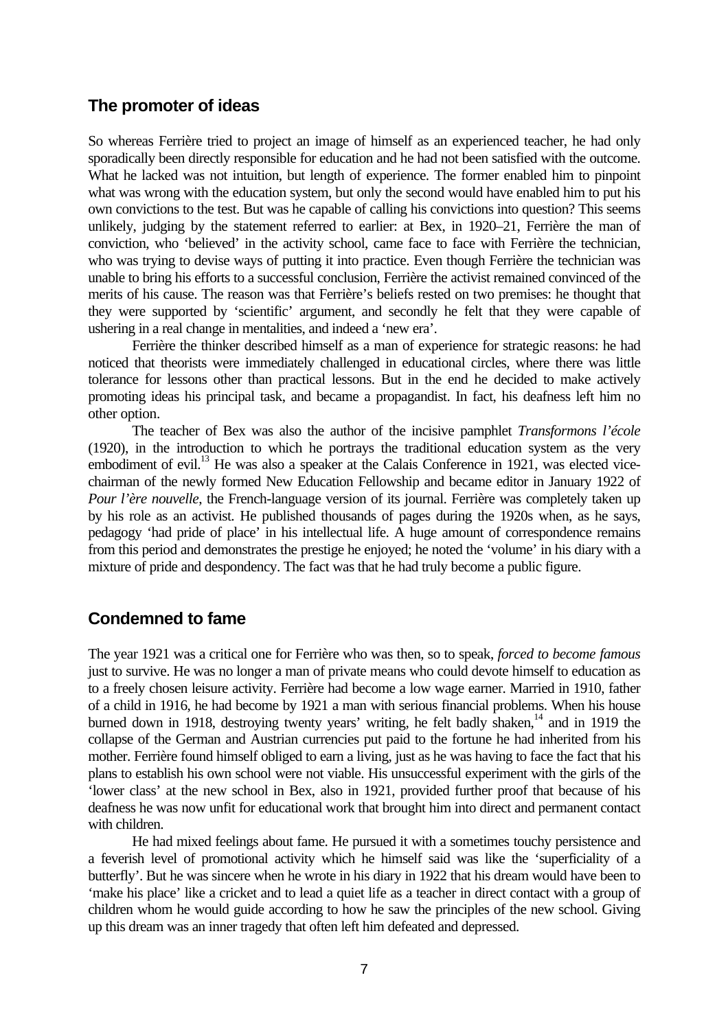## **The promoter of ideas**

So whereas Ferrière tried to project an image of himself as an experienced teacher, he had only sporadically been directly responsible for education and he had not been satisfied with the outcome. What he lacked was not intuition, but length of experience. The former enabled him to pinpoint what was wrong with the education system, but only the second would have enabled him to put his own convictions to the test. But was he capable of calling his convictions into question? This seems unlikely, judging by the statement referred to earlier: at Bex, in 1920–21, Ferrière the man of conviction, who 'believed' in the activity school, came face to face with Ferrière the technician, who was trying to devise ways of putting it into practice. Even though Ferrière the technician was unable to bring his efforts to a successful conclusion, Ferrière the activist remained convinced of the merits of his cause. The reason was that Ferrière's beliefs rested on two premises: he thought that they were supported by 'scientific' argument, and secondly he felt that they were capable of ushering in a real change in mentalities, and indeed a 'new era'.

Ferrière the thinker described himself as a man of experience for strategic reasons: he had noticed that theorists were immediately challenged in educational circles, where there was little tolerance for lessons other than practical lessons. But in the end he decided to make actively promoting ideas his principal task, and became a propagandist. In fact, his deafness left him no other option.

The teacher of Bex was also the author of the incisive pamphlet *Transformons l'école* (1920), in the introduction to which he portrays the traditional education system as the very embodiment of evil.<sup>13</sup> He was also a speaker at the Calais Conference in 1921, was elected vicechairman of the newly formed New Education Fellowship and became editor in January 1922 of *Pour l'ère nouvelle*, the French-language version of its journal. Ferrière was completely taken up by his role as an activist. He published thousands of pages during the 1920s when, as he says, pedagogy 'had pride of place' in his intellectual life. A huge amount of correspondence remains from this period and demonstrates the prestige he enjoyed; he noted the 'volume' in his diary with a mixture of pride and despondency. The fact was that he had truly become a public figure.

# **Condemned to fame**

The year 1921 was a critical one for Ferrière who was then, so to speak, *forced to become famous* just to survive. He was no longer a man of private means who could devote himself to education as to a freely chosen leisure activity. Ferrière had become a low wage earner. Married in 1910, father of a child in 1916, he had become by 1921 a man with serious financial problems. When his house burned down in 1918, destroying twenty years' writing, he felt badly shaken,<sup>14</sup> and in 1919 the collapse of the German and Austrian currencies put paid to the fortune he had inherited from his mother. Ferrière found himself obliged to earn a living, just as he was having to face the fact that his plans to establish his own school were not viable. His unsuccessful experiment with the girls of the 'lower class' at the new school in Bex, also in 1921, provided further proof that because of his deafness he was now unfit for educational work that brought him into direct and permanent contact with children.

He had mixed feelings about fame. He pursued it with a sometimes touchy persistence and a feverish level of promotional activity which he himself said was like the 'superficiality of a butterfly'. But he was sincere when he wrote in his diary in 1922 that his dream would have been to 'make his place' like a cricket and to lead a quiet life as a teacher in direct contact with a group of children whom he would guide according to how he saw the principles of the new school. Giving up this dream was an inner tragedy that often left him defeated and depressed.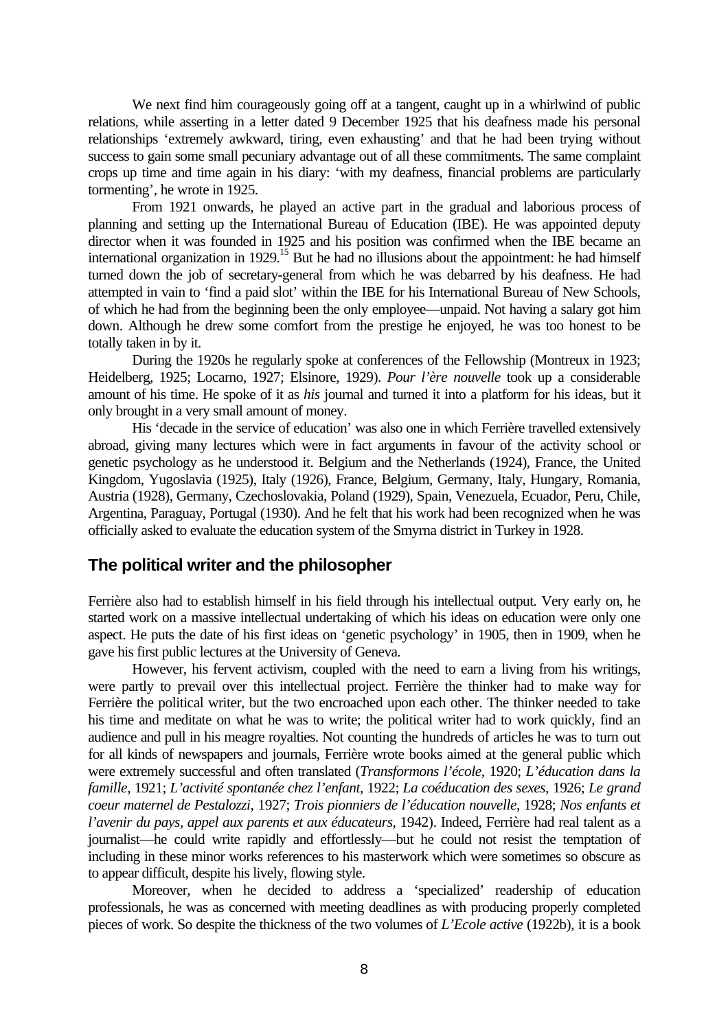We next find him courageously going off at a tangent, caught up in a whirlwind of public relations, while asserting in a letter dated 9 December 1925 that his deafness made his personal relationships 'extremely awkward, tiring, even exhausting' and that he had been trying without success to gain some small pecuniary advantage out of all these commitments. The same complaint crops up time and time again in his diary: 'with my deafness, financial problems are particularly tormenting', he wrote in 1925.

From 1921 onwards, he played an active part in the gradual and laborious process of planning and setting up the International Bureau of Education (IBE). He was appointed deputy director when it was founded in 1925 and his position was confirmed when the IBE became an international organization in 1929.<sup>15</sup> But he had no illusions about the appointment: he had himself turned down the job of secretary-general from which he was debarred by his deafness. He had attempted in vain to 'find a paid slot' within the IBE for his International Bureau of New Schools, of which he had from the beginning been the only employee—unpaid. Not having a salary got him down. Although he drew some comfort from the prestige he enjoyed, he was too honest to be totally taken in by it.

During the 1920s he regularly spoke at conferences of the Fellowship (Montreux in 1923; Heidelberg, 1925; Locarno, 1927; Elsinore, 1929). *Pour l'ère nouvelle* took up a considerable amount of his time. He spoke of it as *his* journal and turned it into a platform for his ideas, but it only brought in a very small amount of money.

His 'decade in the service of education' was also one in which Ferrière travelled extensively abroad, giving many lectures which were in fact arguments in favour of the activity school or genetic psychology as he understood it. Belgium and the Netherlands (1924), France, the United Kingdom, Yugoslavia (1925), Italy (1926), France, Belgium, Germany, Italy, Hungary, Romania, Austria (1928), Germany, Czechoslovakia, Poland (1929), Spain, Venezuela, Ecuador, Peru, Chile, Argentina, Paraguay, Portugal (1930). And he felt that his work had been recognized when he was officially asked to evaluate the education system of the Smyrna district in Turkey in 1928.

## **The political writer and the philosopher**

Ferrière also had to establish himself in his field through his intellectual output. Very early on, he started work on a massive intellectual undertaking of which his ideas on education were only one aspect. He puts the date of his first ideas on 'genetic psychology' in 1905, then in 1909, when he gave his first public lectures at the University of Geneva.

However, his fervent activism, coupled with the need to earn a living from his writings, were partly to prevail over this intellectual project. Ferrière the thinker had to make way for Ferrière the political writer, but the two encroached upon each other. The thinker needed to take his time and meditate on what he was to write; the political writer had to work quickly, find an audience and pull in his meagre royalties. Not counting the hundreds of articles he was to turn out for all kinds of newspapers and journals, Ferrière wrote books aimed at the general public which were extremely successful and often translated (*Transformons l'école,* 1920; *L'éducation dans la famille,* 1921; *L'activité spontanée chez l'enfant*, 1922; *La coéducation des sexes,* 1926; *Le grand coeur maternel de Pestalozzi*, 1927; *Trois pionniers de l'éducation nouvelle*, 1928; *Nos enfants et l'avenir du pays, appel aux parents et aux éducateurs*, 1942). Indeed, Ferrière had real talent as a journalist—he could write rapidly and effortlessly—but he could not resist the temptation of including in these minor works references to his masterwork which were sometimes so obscure as to appear difficult, despite his lively, flowing style.

Moreover, when he decided to address a 'specialized' readership of education professionals, he was as concerned with meeting deadlines as with producing properly completed pieces of work. So despite the thickness of the two volumes of *L'Ecole active* (1922b), it is a book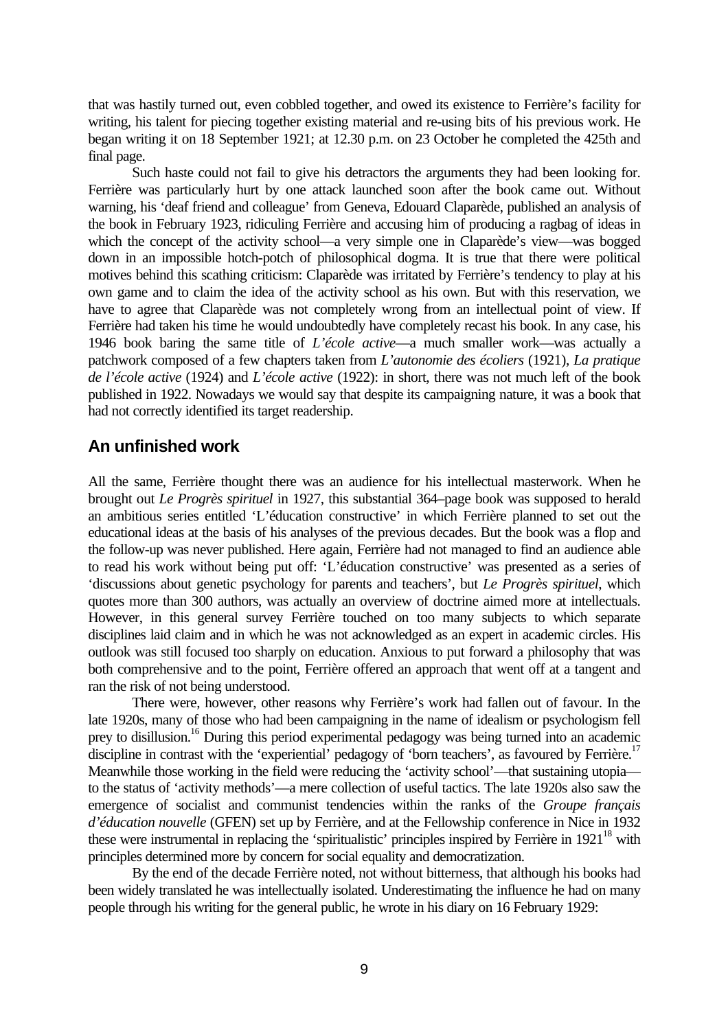that was hastily turned out, even cobbled together, and owed its existence to Ferrière's facility for writing, his talent for piecing together existing material and re-using bits of his previous work. He began writing it on 18 September 1921; at 12.30 p.m. on 23 October he completed the 425th and final page.

Such haste could not fail to give his detractors the arguments they had been looking for. Ferrière was particularly hurt by one attack launched soon after the book came out. Without warning, his 'deaf friend and colleague' from Geneva, Edouard Claparède, published an analysis of the book in February 1923, ridiculing Ferrière and accusing him of producing a ragbag of ideas in which the concept of the activity school—a very simple one in Claparède's view—was bogged down in an impossible hotch-potch of philosophical dogma. It is true that there were political motives behind this scathing criticism: Claparède was irritated by Ferrière's tendency to play at his own game and to claim the idea of the activity school as his own. But with this reservation, we have to agree that Claparède was not completely wrong from an intellectual point of view. If Ferrière had taken his time he would undoubtedly have completely recast his book. In any case, his 1946 book baring the same title of *L'école active*—a much smaller work—was actually a patchwork composed of a few chapters taken from *L'autonomie des écoliers* (1921), *La pratique de l'école active* (1924) and *L'école active* (1922): in short, there was not much left of the book published in 1922. Nowadays we would say that despite its campaigning nature, it was a book that had not correctly identified its target readership.

## **An unfinished work**

All the same, Ferrière thought there was an audience for his intellectual masterwork. When he brought out *Le Progrès spirituel* in 1927, this substantial 364–page book was supposed to herald an ambitious series entitled 'L'éducation constructive' in which Ferrière planned to set out the educational ideas at the basis of his analyses of the previous decades. But the book was a flop and the follow-up was never published. Here again, Ferrière had not managed to find an audience able to read his work without being put off: 'L'éducation constructive' was presented as a series of 'discussions about genetic psychology for parents and teachers', but *Le Progrès spirituel*, which quotes more than 300 authors, was actually an overview of doctrine aimed more at intellectuals. However, in this general survey Ferrière touched on too many subjects to which separate disciplines laid claim and in which he was not acknowledged as an expert in academic circles. His outlook was still focused too sharply on education. Anxious to put forward a philosophy that was both comprehensive and to the point, Ferrière offered an approach that went off at a tangent and ran the risk of not being understood.

There were, however, other reasons why Ferrière's work had fallen out of favour. In the late 1920s, many of those who had been campaigning in the name of idealism or psychologism fell prey to disillusion.<sup>16</sup> During this period experimental pedagogy was being turned into an academic discipline in contrast with the 'experiential' pedagogy of 'born teachers', as favoured by Ferrière.<sup>17</sup> Meanwhile those working in the field were reducing the 'activity school'—that sustaining utopia to the status of 'activity methods'—a mere collection of useful tactics. The late 1920s also saw the emergence of socialist and communist tendencies within the ranks of the *Groupe français d'éducation nouvelle* (GFEN) set up by Ferrière, and at the Fellowship conference in Nice in 1932 these were instrumental in replacing the 'spiritualistic' principles inspired by Ferrière in  $1921^{18}$  with principles determined more by concern for social equality and democratization.

By the end of the decade Ferrière noted, not without bitterness, that although his books had been widely translated he was intellectually isolated. Underestimating the influence he had on many people through his writing for the general public, he wrote in his diary on 16 February 1929: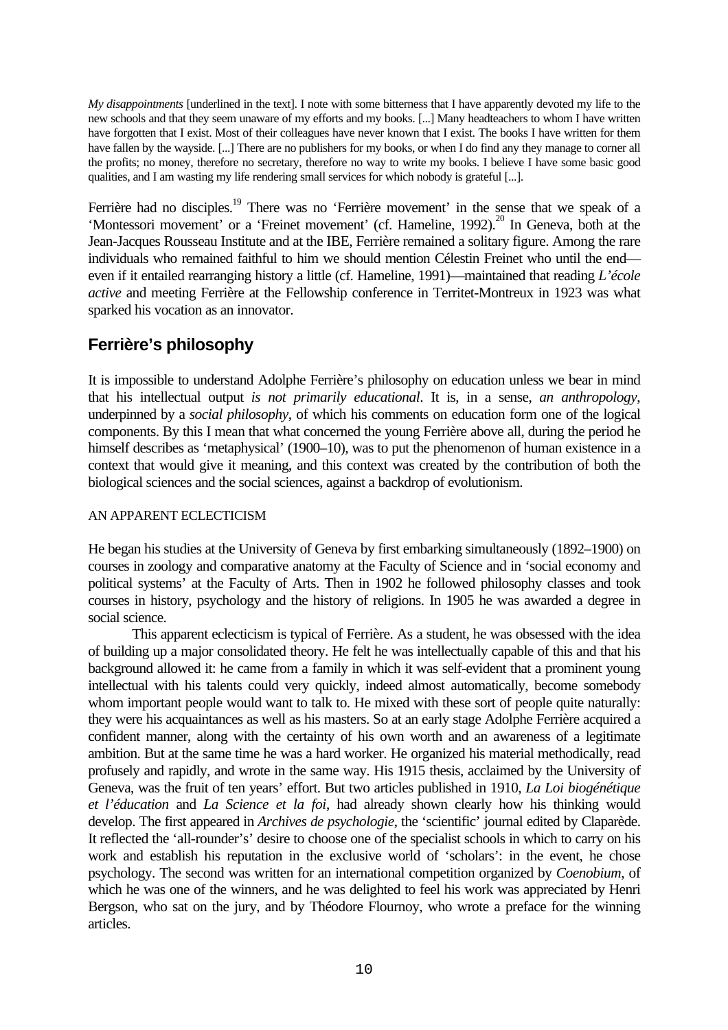*My disappointments* [underlined in the text]. I note with some bitterness that I have apparently devoted my life to the new schools and that they seem unaware of my efforts and my books. [...] Many headteachers to whom I have written have forgotten that I exist. Most of their colleagues have never known that I exist. The books I have written for them have fallen by the wayside. [...] There are no publishers for my books, or when I do find any they manage to corner all the profits; no money, therefore no secretary, therefore no way to write my books. I believe I have some basic good qualities, and I am wasting my life rendering small services for which nobody is grateful [...].

Ferrière had no disciples.<sup>19</sup> There was no 'Ferrière movement' in the sense that we speak of a 'Montessori movement' or a 'Freinet movement' (cf. Hameline, 1992).<sup>20</sup> In Geneva, both at the Jean-Jacques Rousseau Institute and at the IBE, Ferrière remained a solitary figure. Among the rare individuals who remained faithful to him we should mention Célestin Freinet who until the end even if it entailed rearranging history a little (cf. Hameline, 1991)—maintained that reading *L'école active* and meeting Ferrière at the Fellowship conference in Territet-Montreux in 1923 was what sparked his vocation as an innovator.

# **Ferrière's philosophy**

It is impossible to understand Adolphe Ferrière's philosophy on education unless we bear in mind that his intellectual output *is not primarily educational*. It is, in a sense, *an anthropology*, underpinned by a *social philosophy*, of which his comments on education form one of the logical components. By this I mean that what concerned the young Ferrière above all, during the period he himself describes as 'metaphysical' (1900–10), was to put the phenomenon of human existence in a context that would give it meaning, and this context was created by the contribution of both the biological sciences and the social sciences, against a backdrop of evolutionism.

## AN APPARENT ECLECTICISM

He began his studies at the University of Geneva by first embarking simultaneously (1892–1900) on courses in zoology and comparative anatomy at the Faculty of Science and in 'social economy and political systems' at the Faculty of Arts. Then in 1902 he followed philosophy classes and took courses in history, psychology and the history of religions. In 1905 he was awarded a degree in social science.

This apparent eclecticism is typical of Ferrière. As a student, he was obsessed with the idea of building up a major consolidated theory. He felt he was intellectually capable of this and that his background allowed it: he came from a family in which it was self-evident that a prominent young intellectual with his talents could very quickly, indeed almost automatically, become somebody whom important people would want to talk to. He mixed with these sort of people quite naturally: they were his acquaintances as well as his masters. So at an early stage Adolphe Ferrière acquired a confident manner, along with the certainty of his own worth and an awareness of a legitimate ambition. But at the same time he was a hard worker. He organized his material methodically, read profusely and rapidly, and wrote in the same way. His 1915 thesis, acclaimed by the University of Geneva, was the fruit of ten years' effort. But two articles published in 1910, *La Loi biogénétique et l'éducation* and *La Science et la foi*, had already shown clearly how his thinking would develop. The first appeared in *Archives de psychologie*, the 'scientific' journal edited by Claparède. It reflected the 'all-rounder's' desire to choose one of the specialist schools in which to carry on his work and establish his reputation in the exclusive world of 'scholars': in the event, he chose psychology. The second was written for an international competition organized by *Coenobium*, of which he was one of the winners, and he was delighted to feel his work was appreciated by Henri Bergson, who sat on the jury, and by Théodore Flournoy, who wrote a preface for the winning articles.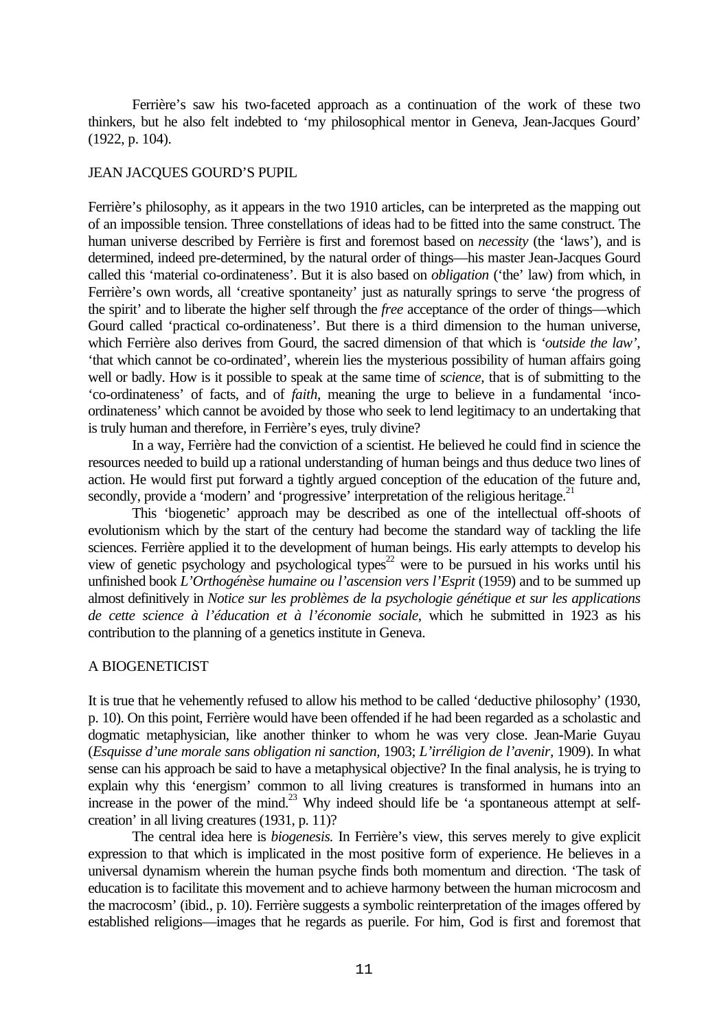Ferrière's saw his two-faceted approach as a continuation of the work of these two thinkers, but he also felt indebted to 'my philosophical mentor in Geneva, Jean-Jacques Gourd' (1922, p. 104).

#### JEAN JACQUES GOURD'S PUPIL

Ferrière's philosophy, as it appears in the two 1910 articles, can be interpreted as the mapping out of an impossible tension. Three constellations of ideas had to be fitted into the same construct. The human universe described by Ferrière is first and foremost based on *necessity* (the 'laws'), and is determined, indeed pre-determined, by the natural order of things—his master Jean-Jacques Gourd called this 'material co-ordinateness'. But it is also based on *obligation* ('the' law) from which, in Ferrière's own words, all 'creative spontaneity' just as naturally springs to serve 'the progress of the spirit' and to liberate the higher self through the *free* acceptance of the order of things—which Gourd called 'practical co-ordinateness'. But there is a third dimension to the human universe, which Ferrière also derives from Gourd, the sacred dimension of that which is *'outside the law'*, 'that which cannot be co-ordinated', wherein lies the mysterious possibility of human affairs going well or badly. How is it possible to speak at the same time of *science*, that is of submitting to the 'co-ordinateness' of facts, and of *faith*, meaning the urge to believe in a fundamental 'incoordinateness' which cannot be avoided by those who seek to lend legitimacy to an undertaking that is truly human and therefore, in Ferrière's eyes, truly divine?

In a way, Ferrière had the conviction of a scientist. He believed he could find in science the resources needed to build up a rational understanding of human beings and thus deduce two lines of action. He would first put forward a tightly argued conception of the education of the future and, secondly, provide a 'modern' and 'progressive' interpretation of the religious heritage.<sup>21</sup>

This 'biogenetic' approach may be described as one of the intellectual off-shoots of evolutionism which by the start of the century had become the standard way of tackling the life sciences. Ferrière applied it to the development of human beings. His early attempts to develop his view of genetic psychology and psychological types<sup>22</sup> were to be pursued in his works until his unfinished book *L'Orthogénèse humaine ou l'ascension vers l'Esprit* (1959) and to be summed up almost definitively in *Notice sur les problèmes de la psychologie génétique et sur les applications de cette science à l'éducation et à l'économie sociale*, which he submitted in 1923 as his contribution to the planning of a genetics institute in Geneva.

#### A BIOGENETICIST

It is true that he vehemently refused to allow his method to be called 'deductive philosophy' (1930, p. 10). On this point, Ferrière would have been offended if he had been regarded as a scholastic and dogmatic metaphysician, like another thinker to whom he was very close. Jean-Marie Guyau (*Esquisse d'une morale sans obligation ni sanction,* 1903; *L'irréligion de l'avenir,* 1909). In what sense can his approach be said to have a metaphysical objective? In the final analysis, he is trying to explain why this 'energism' common to all living creatures is transformed in humans into an increase in the power of the mind.<sup>23</sup> Why indeed should life be 'a spontaneous attempt at selfcreation' in all living creatures (1931, p. 11)?

The central idea here is *biogenesis.* In Ferrière's view, this serves merely to give explicit expression to that which is implicated in the most positive form of experience. He believes in a universal dynamism wherein the human psyche finds both momentum and direction. 'The task of education is to facilitate this movement and to achieve harmony between the human microcosm and the macrocosm' (ibid., p. 10). Ferrière suggests a symbolic reinterpretation of the images offered by established religions—images that he regards as puerile. For him, God is first and foremost that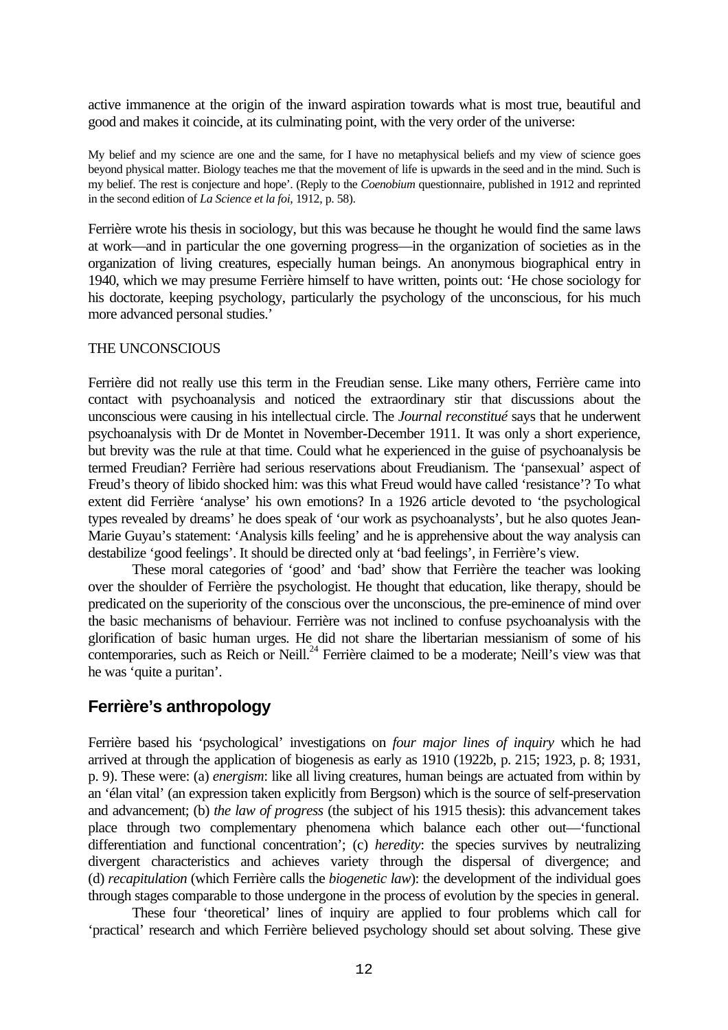active immanence at the origin of the inward aspiration towards what is most true, beautiful and good and makes it coincide, at its culminating point, with the very order of the universe:

My belief and my science are one and the same, for I have no metaphysical beliefs and my view of science goes beyond physical matter. Biology teaches me that the movement of life is upwards in the seed and in the mind. Such is my belief. The rest is conjecture and hope'. (Reply to the *Coenobium* questionnaire, published in 1912 and reprinted in the second edition of *La Science et la foi*, 1912, p. 58).

Ferrière wrote his thesis in sociology, but this was because he thought he would find the same laws at work—and in particular the one governing progress—in the organization of societies as in the organization of living creatures, especially human beings. An anonymous biographical entry in 1940, which we may presume Ferrière himself to have written, points out: 'He chose sociology for his doctorate, keeping psychology, particularly the psychology of the unconscious, for his much more advanced personal studies.'

#### THE UNCONSCIOUS

Ferrière did not really use this term in the Freudian sense. Like many others, Ferrière came into contact with psychoanalysis and noticed the extraordinary stir that discussions about the unconscious were causing in his intellectual circle. The *Journal reconstitué* says that he underwent psychoanalysis with Dr de Montet in November-December 1911. It was only a short experience, but brevity was the rule at that time. Could what he experienced in the guise of psychoanalysis be termed Freudian? Ferrière had serious reservations about Freudianism. The 'pansexual' aspect of Freud's theory of libido shocked him: was this what Freud would have called 'resistance'? To what extent did Ferrière 'analyse' his own emotions? In a 1926 article devoted to 'the psychological types revealed by dreams' he does speak of 'our work as psychoanalysts', but he also quotes Jean-Marie Guyau's statement: 'Analysis kills feeling' and he is apprehensive about the way analysis can destabilize 'good feelings'. It should be directed only at 'bad feelings', in Ferrière's view.

These moral categories of 'good' and 'bad' show that Ferrière the teacher was looking over the shoulder of Ferrière the psychologist. He thought that education, like therapy, should be predicated on the superiority of the conscious over the unconscious, the pre-eminence of mind over the basic mechanisms of behaviour. Ferrière was not inclined to confuse psychoanalysis with the glorification of basic human urges. He did not share the libertarian messianism of some of his contemporaries, such as Reich or Neill.<sup>24</sup> Ferrière claimed to be a moderate; Neill's view was that he was 'quite a puritan'.

# **Ferrière's anthropology**

Ferrière based his 'psychological' investigations on *four major lines of inquiry* which he had arrived at through the application of biogenesis as early as 1910 (1922b, p. 215; 1923, p. 8; 1931, p. 9). These were: (a) *energism*: like all living creatures, human beings are actuated from within by an 'élan vital' (an expression taken explicitly from Bergson) which is the source of self-preservation and advancement; (b) *the law of progress* (the subject of his 1915 thesis): this advancement takes place through two complementary phenomena which balance each other out—'functional differentiation and functional concentration'; (c) *heredity*: the species survives by neutralizing divergent characteristics and achieves variety through the dispersal of divergence; and (d) *recapitulation* (which Ferrière calls the *biogenetic law*): the development of the individual goes through stages comparable to those undergone in the process of evolution by the species in general.

These four 'theoretical' lines of inquiry are applied to four problems which call for 'practical' research and which Ferrière believed psychology should set about solving. These give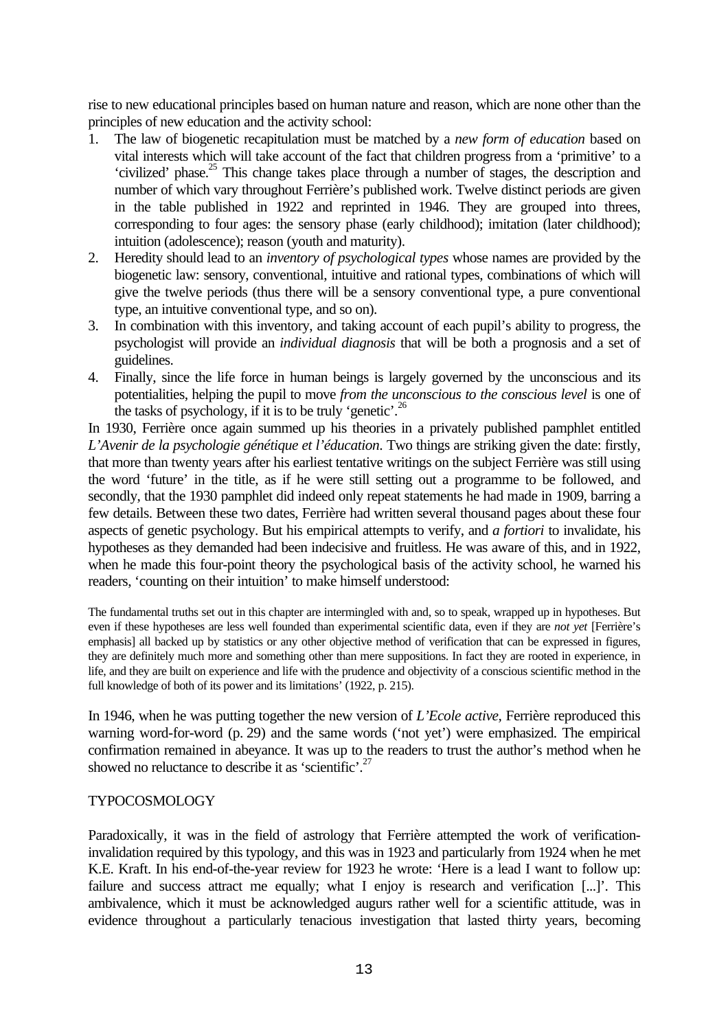rise to new educational principles based on human nature and reason, which are none other than the principles of new education and the activity school:

- 1. The law of biogenetic recapitulation must be matched by a *new form of education* based on vital interests which will take account of the fact that children progress from a 'primitive' to a 'civilized' phase.<sup>25</sup> This change takes place through a number of stages, the description and number of which vary throughout Ferrière's published work. Twelve distinct periods are given in the table published in 1922 and reprinted in 1946. They are grouped into threes, corresponding to four ages: the sensory phase (early childhood); imitation (later childhood); intuition (adolescence); reason (youth and maturity).
- 2. Heredity should lead to an *inventory of psychological types* whose names are provided by the biogenetic law: sensory, conventional, intuitive and rational types, combinations of which will give the twelve periods (thus there will be a sensory conventional type, a pure conventional type, an intuitive conventional type, and so on).
- 3. In combination with this inventory, and taking account of each pupil's ability to progress, the psychologist will provide an *individual diagnosis* that will be both a prognosis and a set of guidelines.
- 4. Finally, since the life force in human beings is largely governed by the unconscious and its potentialities, helping the pupil to move *from the unconscious to the conscious level* is one of the tasks of psychology, if it is to be truly 'genetic'.<sup>26</sup>

In 1930, Ferrière once again summed up his theories in a privately published pamphlet entitled *L'Avenir de la psychologie génétique et l'éducation*. Two things are striking given the date: firstly, that more than twenty years after his earliest tentative writings on the subject Ferrière was still using the word 'future' in the title, as if he were still setting out a programme to be followed, and secondly, that the 1930 pamphlet did indeed only repeat statements he had made in 1909, barring a few details. Between these two dates, Ferrière had written several thousand pages about these four aspects of genetic psychology. But his empirical attempts to verify, and *a fortiori* to invalidate, his hypotheses as they demanded had been indecisive and fruitless. He was aware of this, and in 1922, when he made this four-point theory the psychological basis of the activity school, he warned his readers, 'counting on their intuition' to make himself understood:

The fundamental truths set out in this chapter are intermingled with and, so to speak, wrapped up in hypotheses. But even if these hypotheses are less well founded than experimental scientific data, even if they are *not yet* [Ferrière's emphasis] all backed up by statistics or any other objective method of verification that can be expressed in figures, they are definitely much more and something other than mere suppositions. In fact they are rooted in experience, in life, and they are built on experience and life with the prudence and objectivity of a conscious scientific method in the full knowledge of both of its power and its limitations' (1922, p. 215).

In 1946, when he was putting together the new version of *L'Ecole active,* Ferrière reproduced this warning word-for-word (p. 29) and the same words ('not yet') were emphasized. The empirical confirmation remained in abeyance. It was up to the readers to trust the author's method when he showed no reluctance to describe it as 'scientific'.<sup>27</sup>

#### TYPOCOSMOLOGY

Paradoxically, it was in the field of astrology that Ferrière attempted the work of verificationinvalidation required by this typology, and this was in 1923 and particularly from 1924 when he met K.E. Kraft. In his end-of-the-year review for 1923 he wrote: 'Here is a lead I want to follow up: failure and success attract me equally; what I enjoy is research and verification [...]'. This ambivalence, which it must be acknowledged augurs rather well for a scientific attitude, was in evidence throughout a particularly tenacious investigation that lasted thirty years, becoming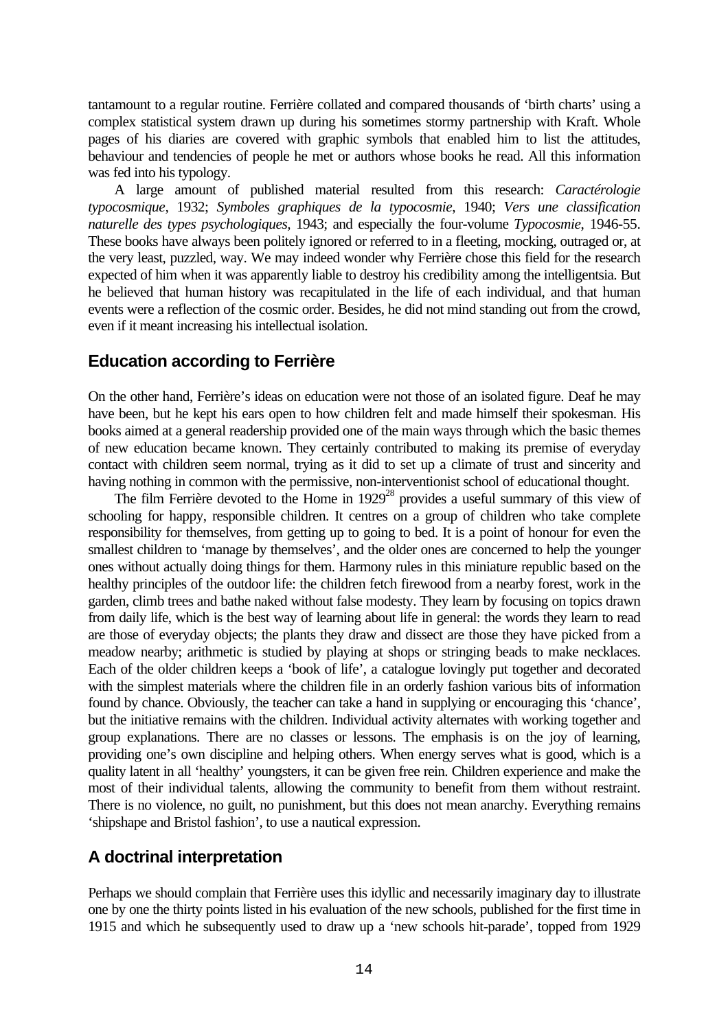tantamount to a regular routine. Ferrière collated and compared thousands of 'birth charts' using a complex statistical system drawn up during his sometimes stormy partnership with Kraft. Whole pages of his diaries are covered with graphic symbols that enabled him to list the attitudes, behaviour and tendencies of people he met or authors whose books he read. All this information was fed into his typology.

A large amount of published material resulted from this research: *Caractérologie typocosmique,* 1932; *Symboles graphiques de la typocosmie*, 1940; *Vers une classification naturelle des types psychologiques,* 1943; and especially the four-volume *Typocosmie*, 1946-55. These books have always been politely ignored or referred to in a fleeting, mocking, outraged or, at the very least, puzzled, way. We may indeed wonder why Ferrière chose this field for the research expected of him when it was apparently liable to destroy his credibility among the intelligentsia. But he believed that human history was recapitulated in the life of each individual, and that human events were a reflection of the cosmic order. Besides, he did not mind standing out from the crowd, even if it meant increasing his intellectual isolation.

## **Education according to Ferrière**

On the other hand, Ferrière's ideas on education were not those of an isolated figure. Deaf he may have been, but he kept his ears open to how children felt and made himself their spokesman. His books aimed at a general readership provided one of the main ways through which the basic themes of new education became known. They certainly contributed to making its premise of everyday contact with children seem normal, trying as it did to set up a climate of trust and sincerity and having nothing in common with the permissive, non-interventionist school of educational thought.

The film Ferrière devoted to the Home in  $1929^{28}$  provides a useful summary of this view of schooling for happy, responsible children. It centres on a group of children who take complete responsibility for themselves, from getting up to going to bed. It is a point of honour for even the smallest children to 'manage by themselves', and the older ones are concerned to help the younger ones without actually doing things for them. Harmony rules in this miniature republic based on the healthy principles of the outdoor life: the children fetch firewood from a nearby forest, work in the garden, climb trees and bathe naked without false modesty. They learn by focusing on topics drawn from daily life, which is the best way of learning about life in general: the words they learn to read are those of everyday objects; the plants they draw and dissect are those they have picked from a meadow nearby; arithmetic is studied by playing at shops or stringing beads to make necklaces. Each of the older children keeps a 'book of life', a catalogue lovingly put together and decorated with the simplest materials where the children file in an orderly fashion various bits of information found by chance. Obviously, the teacher can take a hand in supplying or encouraging this 'chance', but the initiative remains with the children. Individual activity alternates with working together and group explanations. There are no classes or lessons. The emphasis is on the joy of learning, providing one's own discipline and helping others. When energy serves what is good, which is a quality latent in all 'healthy' youngsters, it can be given free rein. Children experience and make the most of their individual talents, allowing the community to benefit from them without restraint. There is no violence, no guilt, no punishment, but this does not mean anarchy. Everything remains 'shipshape and Bristol fashion', to use a nautical expression.

# **A doctrinal interpretation**

Perhaps we should complain that Ferrière uses this idyllic and necessarily imaginary day to illustrate one by one the thirty points listed in his evaluation of the new schools, published for the first time in 1915 and which he subsequently used to draw up a 'new schools hit-parade', topped from 1929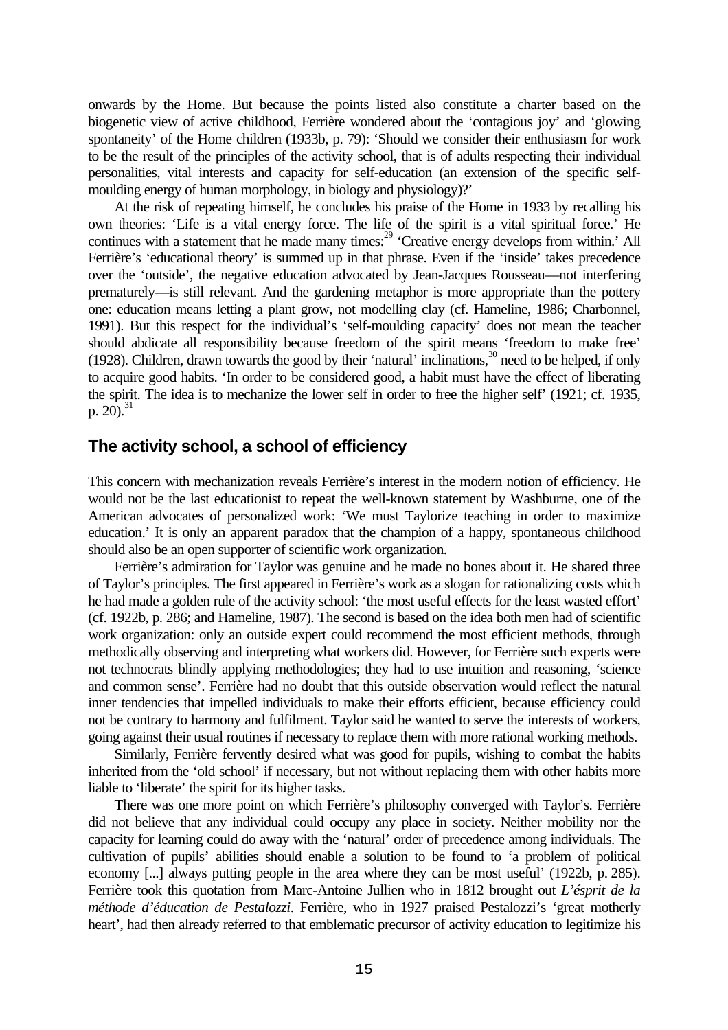onwards by the Home. But because the points listed also constitute a charter based on the biogenetic view of active childhood, Ferrière wondered about the 'contagious joy' and 'glowing spontaneity' of the Home children (1933b, p. 79): 'Should we consider their enthusiasm for work to be the result of the principles of the activity school, that is of adults respecting their individual personalities, vital interests and capacity for self-education (an extension of the specific selfmoulding energy of human morphology, in biology and physiology)?'

At the risk of repeating himself, he concludes his praise of the Home in 1933 by recalling his own theories: 'Life is a vital energy force. The life of the spirit is a vital spiritual force.' He continues with a statement that he made many times:<sup>29</sup> 'Creative energy develops from within.' All Ferrière's 'educational theory' is summed up in that phrase. Even if the 'inside' takes precedence over the 'outside', the negative education advocated by Jean-Jacques Rousseau—not interfering prematurely—is still relevant. And the gardening metaphor is more appropriate than the pottery one: education means letting a plant grow, not modelling clay (cf. Hameline, 1986; Charbonnel, 1991). But this respect for the individual's 'self-moulding capacity' does not mean the teacher should abdicate all responsibility because freedom of the spirit means 'freedom to make free' (1928). Children, drawn towards the good by their 'natural' inclinations, <sup>30</sup> need to be helped, if only to acquire good habits. 'In order to be considered good, a habit must have the effect of liberating the spirit. The idea is to mechanize the lower self in order to free the higher self' (1921; cf. 1935, p. 20 $)$ .<sup>31</sup>

## **The activity school, a school of efficiency**

This concern with mechanization reveals Ferrière's interest in the modern notion of efficiency. He would not be the last educationist to repeat the well-known statement by Washburne, one of the American advocates of personalized work: 'We must Taylorize teaching in order to maximize education.' It is only an apparent paradox that the champion of a happy, spontaneous childhood should also be an open supporter of scientific work organization.

Ferrière's admiration for Taylor was genuine and he made no bones about it. He shared three of Taylor's principles. The first appeared in Ferrière's work as a slogan for rationalizing costs which he had made a golden rule of the activity school: 'the most useful effects for the least wasted effort' (cf. 1922b, p. 286; and Hameline, 1987). The second is based on the idea both men had of scientific work organization: only an outside expert could recommend the most efficient methods, through methodically observing and interpreting what workers did. However, for Ferrière such experts were not technocrats blindly applying methodologies; they had to use intuition and reasoning, 'science and common sense'. Ferrière had no doubt that this outside observation would reflect the natural inner tendencies that impelled individuals to make their efforts efficient, because efficiency could not be contrary to harmony and fulfilment. Taylor said he wanted to serve the interests of workers, going against their usual routines if necessary to replace them with more rational working methods.

Similarly, Ferrière fervently desired what was good for pupils, wishing to combat the habits inherited from the 'old school' if necessary, but not without replacing them with other habits more liable to 'liberate' the spirit for its higher tasks.

There was one more point on which Ferrière's philosophy converged with Taylor's. Ferrière did not believe that any individual could occupy any place in society. Neither mobility nor the capacity for learning could do away with the 'natural' order of precedence among individuals. The cultivation of pupils' abilities should enable a solution to be found to 'a problem of political economy [...] always putting people in the area where they can be most useful' (1922b, p. 285). Ferrière took this quotation from Marc-Antoine Jullien who in 1812 brought out *L'ésprit de la méthode d'éducation de Pestalozzi*. Ferrière, who in 1927 praised Pestalozzi's 'great motherly heart', had then already referred to that emblematic precursor of activity education to legitimize his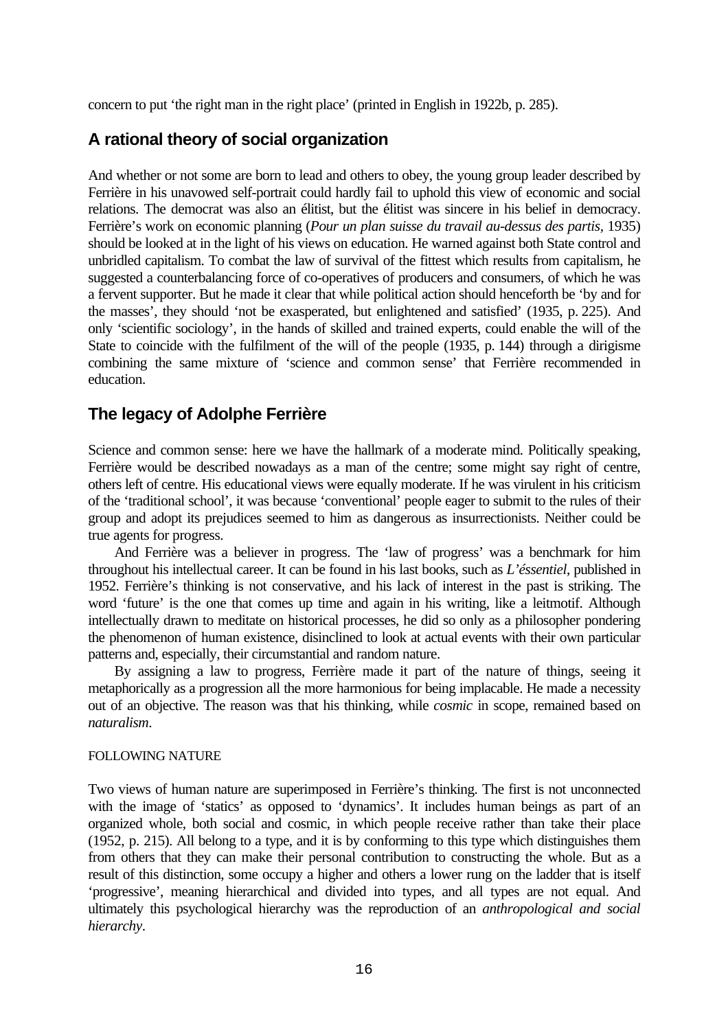concern to put 'the right man in the right place' (printed in English in 1922b, p. 285).

# **A rational theory of social organization**

And whether or not some are born to lead and others to obey, the young group leader described by Ferrière in his unavowed self-portrait could hardly fail to uphold this view of economic and social relations. The democrat was also an élitist, but the élitist was sincere in his belief in democracy. Ferrière's work on economic planning (*Pour un plan suisse du travail au-dessus des partis,* 1935) should be looked at in the light of his views on education. He warned against both State control and unbridled capitalism. To combat the law of survival of the fittest which results from capitalism, he suggested a counterbalancing force of co-operatives of producers and consumers, of which he was a fervent supporter. But he made it clear that while political action should henceforth be 'by and for the masses', they should 'not be exasperated, but enlightened and satisfied' (1935, p. 225). And only 'scientific sociology', in the hands of skilled and trained experts, could enable the will of the State to coincide with the fulfilment of the will of the people (1935, p. 144) through a dirigisme combining the same mixture of 'science and common sense' that Ferrière recommended in education.

# **The legacy of Adolphe Ferrière**

Science and common sense: here we have the hallmark of a moderate mind. Politically speaking, Ferrière would be described nowadays as a man of the centre; some might say right of centre, others left of centre. His educational views were equally moderate. If he was virulent in his criticism of the 'traditional school', it was because 'conventional' people eager to submit to the rules of their group and adopt its prejudices seemed to him as dangerous as insurrectionists. Neither could be true agents for progress.

And Ferrière was a believer in progress. The 'law of progress' was a benchmark for him throughout his intellectual career. It can be found in his last books, such as *L'éssentiel*, published in 1952. Ferrière's thinking is not conservative, and his lack of interest in the past is striking. The word 'future' is the one that comes up time and again in his writing, like a leitmotif. Although intellectually drawn to meditate on historical processes, he did so only as a philosopher pondering the phenomenon of human existence, disinclined to look at actual events with their own particular patterns and, especially, their circumstantial and random nature.

By assigning a law to progress, Ferrière made it part of the nature of things, seeing it metaphorically as a progression all the more harmonious for being implacable. He made a necessity out of an objective. The reason was that his thinking, while *cosmic* in scope, remained based on *naturalism*.

### FOLLOWING NATURE

Two views of human nature are superimposed in Ferrière's thinking. The first is not unconnected with the image of 'statics' as opposed to 'dynamics'. It includes human beings as part of an organized whole, both social and cosmic, in which people receive rather than take their place (1952, p. 215). All belong to a type, and it is by conforming to this type which distinguishes them from others that they can make their personal contribution to constructing the whole. But as a result of this distinction, some occupy a higher and others a lower rung on the ladder that is itself 'progressive', meaning hierarchical and divided into types, and all types are not equal. And ultimately this psychological hierarchy was the reproduction of an *anthropological and social hierarchy*.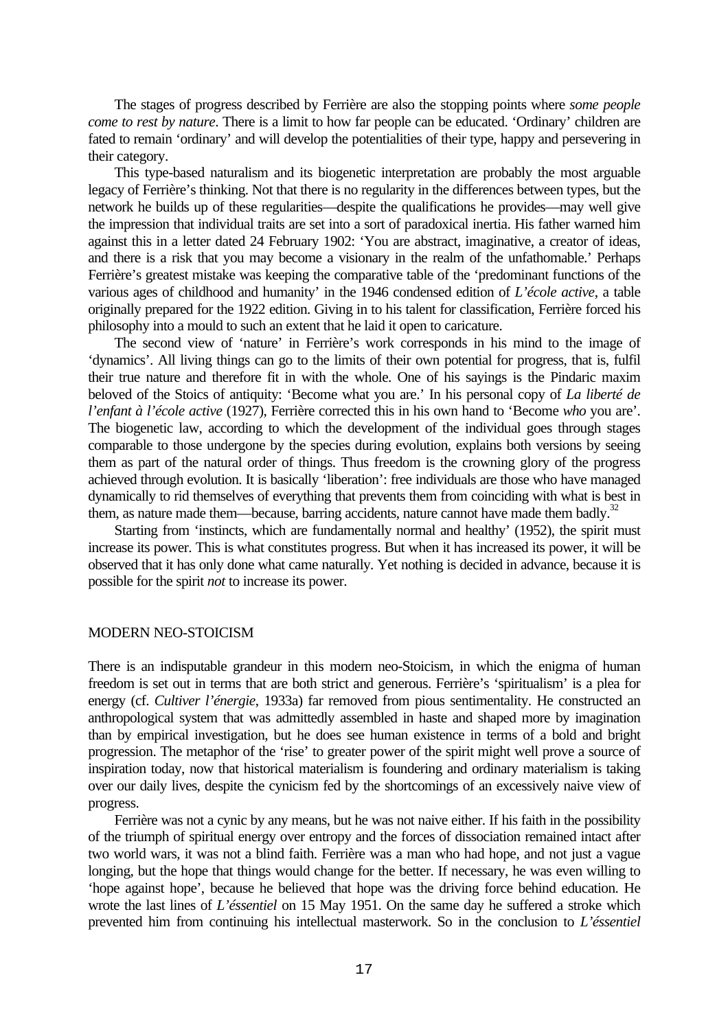The stages of progress described by Ferrière are also the stopping points where *some people come to rest by nature*. There is a limit to how far people can be educated. 'Ordinary' children are fated to remain 'ordinary' and will develop the potentialities of their type, happy and persevering in their category.

This type-based naturalism and its biogenetic interpretation are probably the most arguable legacy of Ferrière's thinking. Not that there is no regularity in the differences between types, but the network he builds up of these regularities—despite the qualifications he provides—may well give the impression that individual traits are set into a sort of paradoxical inertia. His father warned him against this in a letter dated 24 February 1902: 'You are abstract, imaginative, a creator of ideas, and there is a risk that you may become a visionary in the realm of the unfathomable.' Perhaps Ferrière's greatest mistake was keeping the comparative table of the 'predominant functions of the various ages of childhood and humanity' in the 1946 condensed edition of *L'école active*, a table originally prepared for the 1922 edition. Giving in to his talent for classification, Ferrière forced his philosophy into a mould to such an extent that he laid it open to caricature.

The second view of 'nature' in Ferrière's work corresponds in his mind to the image of 'dynamics'. All living things can go to the limits of their own potential for progress, that is, fulfil their true nature and therefore fit in with the whole. One of his sayings is the Pindaric maxim beloved of the Stoics of antiquity: 'Become what you are.' In his personal copy of *La liberté de l'enfant à l'école active* (1927), Ferrière corrected this in his own hand to 'Become *who* you are'. The biogenetic law, according to which the development of the individual goes through stages comparable to those undergone by the species during evolution, explains both versions by seeing them as part of the natural order of things. Thus freedom is the crowning glory of the progress achieved through evolution. It is basically 'liberation': free individuals are those who have managed dynamically to rid themselves of everything that prevents them from coinciding with what is best in them, as nature made them—because, barring accidents, nature cannot have made them badly. $32$ 

Starting from 'instincts, which are fundamentally normal and healthy' (1952), the spirit must increase its power. This is what constitutes progress. But when it has increased its power, it will be observed that it has only done what came naturally. Yet nothing is decided in advance, because it is possible for the spirit *not* to increase its power.

#### MODERN NEO-STOICISM

There is an indisputable grandeur in this modern neo-Stoicism, in which the enigma of human freedom is set out in terms that are both strict and generous. Ferrière's 'spiritualism' is a plea for energy (cf. *Cultiver l'énergie*, 1933a) far removed from pious sentimentality. He constructed an anthropological system that was admittedly assembled in haste and shaped more by imagination than by empirical investigation, but he does see human existence in terms of a bold and bright progression. The metaphor of the 'rise' to greater power of the spirit might well prove a source of inspiration today, now that historical materialism is foundering and ordinary materialism is taking over our daily lives, despite the cynicism fed by the shortcomings of an excessively naive view of progress.

Ferrière was not a cynic by any means, but he was not naive either. If his faith in the possibility of the triumph of spiritual energy over entropy and the forces of dissociation remained intact after two world wars, it was not a blind faith. Ferrière was a man who had hope, and not just a vague longing, but the hope that things would change for the better. If necessary, he was even willing to 'hope against hope', because he believed that hope was the driving force behind education. He wrote the last lines of *L'éssentiel* on 15 May 1951. On the same day he suffered a stroke which prevented him from continuing his intellectual masterwork. So in the conclusion to *L'éssentiel*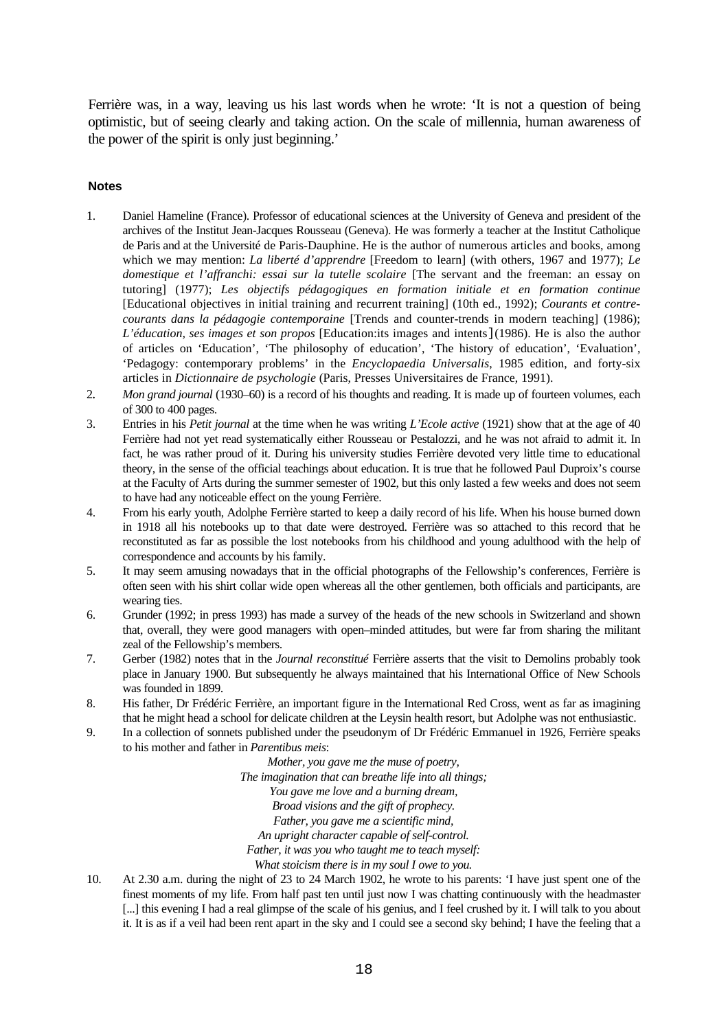Ferrière was, in a way, leaving us his last words when he wrote: 'It is not a question of being optimistic, but of seeing clearly and taking action. On the scale of millennia, human awareness of the power of the spirit is only just beginning.'

#### **Notes**

- 1. Daniel Hameline (France). Professor of educational sciences at the University of Geneva and president of the archives of the Institut Jean-Jacques Rousseau (Geneva). He was formerly a teacher at the Institut Catholique de Paris and at the Université de Paris-Dauphine. He is the author of numerous articles and books, among which we may mention: *La liberté d'apprendre* [Freedom to learn] (with others, 1967 and 1977); *Le domestique et l'affranchi: essai sur la tutelle scolaire* [The servant and the freeman: an essay on tutoring] (1977); *Les objectifs pédagogiques en formation initiale et en formation continue* [Educational objectives in initial training and recurrent training] (10th ed., 1992); *Courants et contrecourants dans la pédagogie contemporaine* [Trends and counter-trends in modern teaching] (1986); *L'éducation, ses images et son propos* [Education:its images and intents](1986). He is also the author of articles on 'Education', 'The philosophy of education', 'The history of education', 'Evaluation', 'Pedagogy: contemporary problems' in the *Encyclopaedia Universalis*, 1985 edition, and forty-six articles in *Dictionnaire de psychologie* (Paris, Presses Universitaires de France, 1991).
- 2*. Mon grand journal* (1930–60) is a record of his thoughts and reading. It is made up of fourteen volumes, each of 300 to 400 pages.
- 3. Entries in his *Petit journal* at the time when he was writing *L'Ecole active* (1921) show that at the age of 40 Ferrière had not yet read systematically either Rousseau or Pestalozzi, and he was not afraid to admit it. In fact, he was rather proud of it. During his university studies Ferrière devoted very little time to educational theory, in the sense of the official teachings about education. It is true that he followed Paul Duproix's course at the Faculty of Arts during the summer semester of 1902, but this only lasted a few weeks and does not seem to have had any noticeable effect on the young Ferrière.
- 4. From his early youth, Adolphe Ferrière started to keep a daily record of his life. When his house burned down in 1918 all his notebooks up to that date were destroyed. Ferrière was so attached to this record that he reconstituted as far as possible the lost notebooks from his childhood and young adulthood with the help of correspondence and accounts by his family.
- 5. It may seem amusing nowadays that in the official photographs of the Fellowship's conferences, Ferrière is often seen with his shirt collar wide open whereas all the other gentlemen, both officials and participants, are wearing ties.
- 6. Grunder (1992; in press 1993) has made a survey of the heads of the new schools in Switzerland and shown that, overall, they were good managers with open–minded attitudes, but were far from sharing the militant zeal of the Fellowship's members.
- 7. Gerber (1982) notes that in the *Journal reconstitué* Ferrière asserts that the visit to Demolins probably took place in January 1900. But subsequently he always maintained that his International Office of New Schools was founded in 1899.
- 8. His father, Dr Frédéric Ferrière, an important figure in the International Red Cross, went as far as imagining that he might head a school for delicate children at the Leysin health resort, but Adolphe was not enthusiastic.
- 9. In a collection of sonnets published under the pseudonym of Dr Frédéric Emmanuel in 1926, Ferrière speaks to his mother and father in *Parentibus meis*:

*Mother, you gave me the muse of poetry, The imagination that can breathe life into all things; You gave me love and a burning dream, Broad visions and the gift of prophecy. Father, you gave me a scientific mind, An upright character capable of self-control. Father, it was you who taught me to teach myself: What stoicism there is in my soul I owe to you.*

10. At 2.30 a.m. during the night of 23 to 24 March 1902, he wrote to his parents: 'I have just spent one of the finest moments of my life. From half past ten until just now I was chatting continuously with the headmaster [...] this evening I had a real glimpse of the scale of his genius, and I feel crushed by it. I will talk to you about it. It is as if a veil had been rent apart in the sky and I could see a second sky behind; I have the feeling that a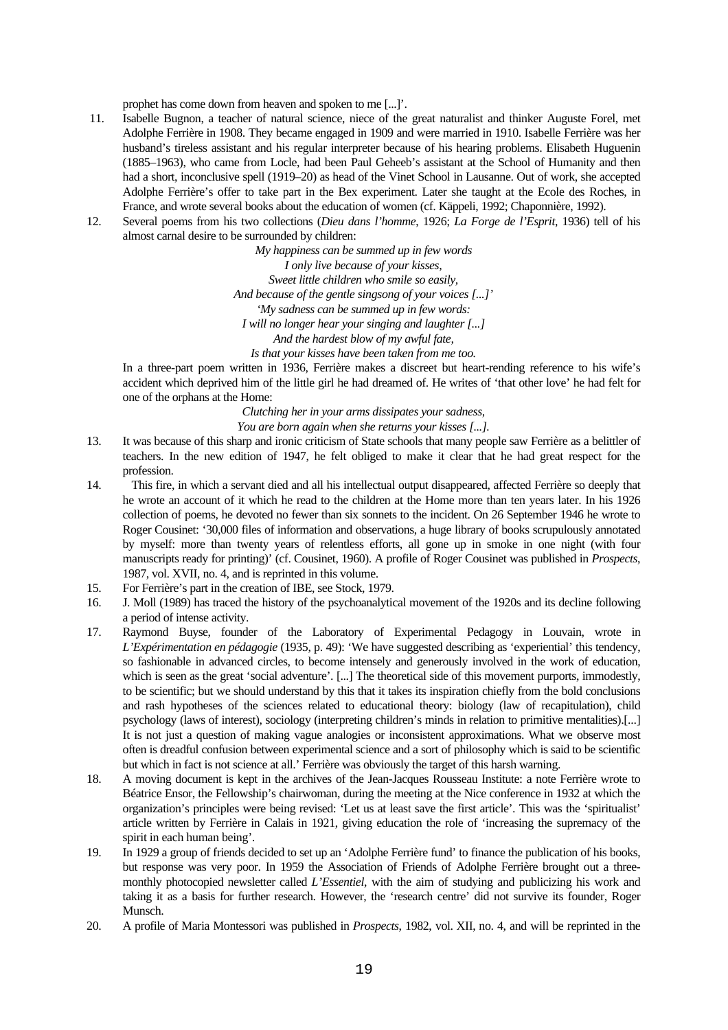prophet has come down from heaven and spoken to me [...]'.

- 11. Isabelle Bugnon, a teacher of natural science, niece of the great naturalist and thinker Auguste Forel, met Adolphe Ferrière in 1908. They became engaged in 1909 and were married in 1910. Isabelle Ferrière was her husband's tireless assistant and his regular interpreter because of his hearing problems. Elisabeth Huguenin (1885–1963), who came from Locle, had been Paul Geheeb's assistant at the School of Humanity and then had a short, inconclusive spell (1919–20) as head of the Vinet School in Lausanne. Out of work, she accepted Adolphe Ferrière's offer to take part in the Bex experiment. Later she taught at the Ecole des Roches, in France, and wrote several books about the education of women (cf. Käppeli, 1992; Chaponnière, 1992).
- 12. Several poems from his two collections (*Dieu dans l'homme*, 1926; *La Forge de l'Esprit*, 1936) tell of his almost carnal desire to be surrounded by children:

*My happiness can be summed up in few words I only live because of your kisses, Sweet little children who smile so easily, And because of the gentle singsong of your voices [...]' 'My sadness can be summed up in few words: I will no longer hear your singing and laughter [...] And the hardest blow of my awful fate, Is that your kisses have been taken from me too.*

In a three-part poem written in 1936, Ferrière makes a discreet but heart-rending reference to his wife's accident which deprived him of the little girl he had dreamed of. He writes of 'that other love' he had felt for one of the orphans at the Home:

*Clutching her in your arms dissipates your sadness,*

*You are born again when she returns your kisses [...].*

- 13. It was because of this sharp and ironic criticism of State schools that many people saw Ferrière as a belittler of teachers. In the new edition of 1947, he felt obliged to make it clear that he had great respect for the profession.
- 14. This fire, in which a servant died and all his intellectual output disappeared, affected Ferrière so deeply that he wrote an account of it which he read to the children at the Home more than ten years later. In his 1926 collection of poems, he devoted no fewer than six sonnets to the incident. On 26 September 1946 he wrote to Roger Cousinet: '30,000 files of information and observations, a huge library of books scrupulously annotated by myself: more than twenty years of relentless efforts, all gone up in smoke in one night (with four manuscripts ready for printing)' (cf. Cousinet, 1960). A profile of Roger Cousinet was published in *Prospects*, 1987, vol. XVII, no. 4, and is reprinted in this volume.
- 15. For Ferrière's part in the creation of IBE, see Stock, 1979.
- 16. J. Moll (1989) has traced the history of the psychoanalytical movement of the 1920s and its decline following a period of intense activity.
- 17. Raymond Buyse, founder of the Laboratory of Experimental Pedagogy in Louvain, wrote in *L'Expérimentation en pédagogie* (1935, p. 49): 'We have suggested describing as 'experiential' this tendency, so fashionable in advanced circles, to become intensely and generously involved in the work of education, which is seen as the great 'social adventure'. [...] The theoretical side of this movement purports, immodestly, to be scientific; but we should understand by this that it takes its inspiration chiefly from the bold conclusions and rash hypotheses of the sciences related to educational theory: biology (law of recapitulation), child psychology (laws of interest), sociology (interpreting children's minds in relation to primitive mentalities).[...] It is not just a question of making vague analogies or inconsistent approximations. What we observe most often is dreadful confusion between experimental science and a sort of philosophy which is said to be scientific but which in fact is not science at all.' Ferrière was obviously the target of this harsh warning.
- 18. A moving document is kept in the archives of the Jean-Jacques Rousseau Institute: a note Ferrière wrote to Béatrice Ensor, the Fellowship's chairwoman, during the meeting at the Nice conference in 1932 at which the organization's principles were being revised: 'Let us at least save the first article'. This was the 'spiritualist' article written by Ferrière in Calais in 1921, giving education the role of 'increasing the supremacy of the spirit in each human being'.
- 19. In 1929 a group of friends decided to set up an 'Adolphe Ferrière fund' to finance the publication of his books, but response was very poor. In 1959 the Association of Friends of Adolphe Ferrière brought out a threemonthly photocopied newsletter called *L'Essentiel*, with the aim of studying and publicizing his work and taking it as a basis for further research. However, the 'research centre' did not survive its founder, Roger Munsch.
- 20. A profile of Maria Montessori was published in *Prospects*, 1982, vol. XII, no. 4, and will be reprinted in the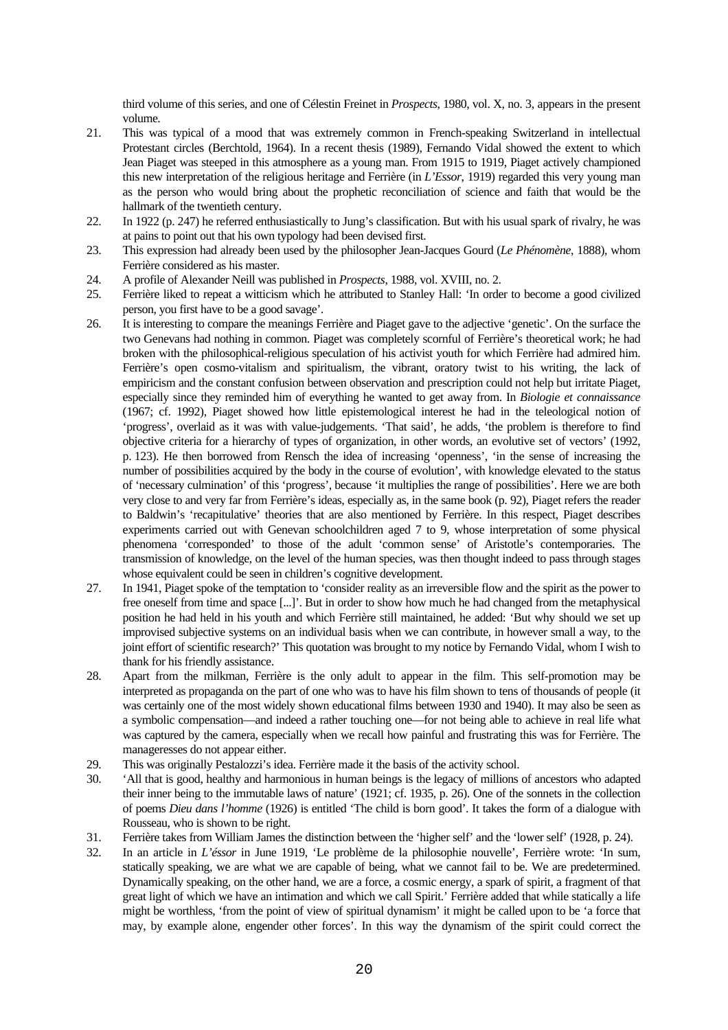third volume of this series, and one of Célestin Freinet in *Prospects*, 1980, vol. X, no. 3, appears in the present volume.

- 21. This was typical of a mood that was extremely common in French-speaking Switzerland in intellectual Protestant circles (Berchtold, 1964). In a recent thesis (1989), Fernando Vidal showed the extent to which Jean Piaget was steeped in this atmosphere as a young man. From 1915 to 1919, Piaget actively championed this new interpretation of the religious heritage and Ferrière (in *L'Essor*, 1919) regarded this very young man as the person who would bring about the prophetic reconciliation of science and faith that would be the hallmark of the twentieth century.
- 22. In 1922 (p. 247) he referred enthusiastically to Jung's classification. But with his usual spark of rivalry, he was at pains to point out that his own typology had been devised first.
- 23. This expression had already been used by the philosopher Jean-Jacques Gourd (*Le Phénomène*, 1888), whom Ferrière considered as his master.
- 24. A profile of Alexander Neill was published in *Prospects*, 1988, vol. XVIII, no. 2.
- 25. Ferrière liked to repeat a witticism which he attributed to Stanley Hall: 'In order to become a good civilized person, you first have to be a good savage'.
- 26. It is interesting to compare the meanings Ferrière and Piaget gave to the adjective 'genetic'. On the surface the two Genevans had nothing in common. Piaget was completely scornful of Ferrière's theoretical work; he had broken with the philosophical-religious speculation of his activist youth for which Ferrière had admired him. Ferrière's open cosmo-vitalism and spiritualism, the vibrant, oratory twist to his writing, the lack of empiricism and the constant confusion between observation and prescription could not help but irritate Piaget, especially since they reminded him of everything he wanted to get away from. In *Biologie et connaissance* (1967; cf. 1992), Piaget showed how little epistemological interest he had in the teleological notion of 'progress', overlaid as it was with value-judgements. 'That said', he adds, 'the problem is therefore to find objective criteria for a hierarchy of types of organization, in other words, an evolutive set of vectors' (1992, p. 123). He then borrowed from Rensch the idea of increasing 'openness', 'in the sense of increasing the number of possibilities acquired by the body in the course of evolution', with knowledge elevated to the status of 'necessary culmination' of this 'progress', because 'it multiplies the range of possibilities'. Here we are both very close to and very far from Ferrière's ideas, especially as, in the same book (p. 92), Piaget refers the reader to Baldwin's 'recapitulative' theories that are also mentioned by Ferrière. In this respect, Piaget describes experiments carried out with Genevan schoolchildren aged 7 to 9, whose interpretation of some physical phenomena 'corresponded' to those of the adult 'common sense' of Aristotle's contemporaries. The transmission of knowledge, on the level of the human species, was then thought indeed to pass through stages whose equivalent could be seen in children's cognitive development.
- 27. In 1941, Piaget spoke of the temptation to 'consider reality as an irreversible flow and the spirit as the power to free oneself from time and space [...]'. But in order to show how much he had changed from the metaphysical position he had held in his youth and which Ferrière still maintained, he added: 'But why should we set up improvised subjective systems on an individual basis when we can contribute, in however small a way, to the joint effort of scientific research?' This quotation was brought to my notice by Fernando Vidal, whom I wish to thank for his friendly assistance.
- 28. Apart from the milkman, Ferrière is the only adult to appear in the film. This self-promotion may be interpreted as propaganda on the part of one who was to have his film shown to tens of thousands of people (it was certainly one of the most widely shown educational films between 1930 and 1940). It may also be seen as a symbolic compensation—and indeed a rather touching one—for not being able to achieve in real life what was captured by the camera, especially when we recall how painful and frustrating this was for Ferrière. The manageresses do not appear either.
- 29. This was originally Pestalozzi's idea. Ferrière made it the basis of the activity school.
- 30. 'All that is good, healthy and harmonious in human beings is the legacy of millions of ancestors who adapted their inner being to the immutable laws of nature' (1921; cf. 1935, p. 26). One of the sonnets in the collection of poems *Dieu dans l'homme* (1926) is entitled 'The child is born good'. It takes the form of a dialogue with Rousseau, who is shown to be right.
- 31. Ferrière takes from William James the distinction between the 'higher self' and the 'lower self' (1928, p. 24).
- 32. In an article in *L'éssor* in June 1919, 'Le problème de la philosophie nouvelle', Ferrière wrote: 'In sum, statically speaking, we are what we are capable of being, what we cannot fail to be. We are predetermined. Dynamically speaking, on the other hand, we are a force, a cosmic energy, a spark of spirit, a fragment of that great light of which we have an intimation and which we call Spirit.' Ferrière added that while statically a life might be worthless, 'from the point of view of spiritual dynamism' it might be called upon to be 'a force that may, by example alone, engender other forces'. In this way the dynamism of the spirit could correct the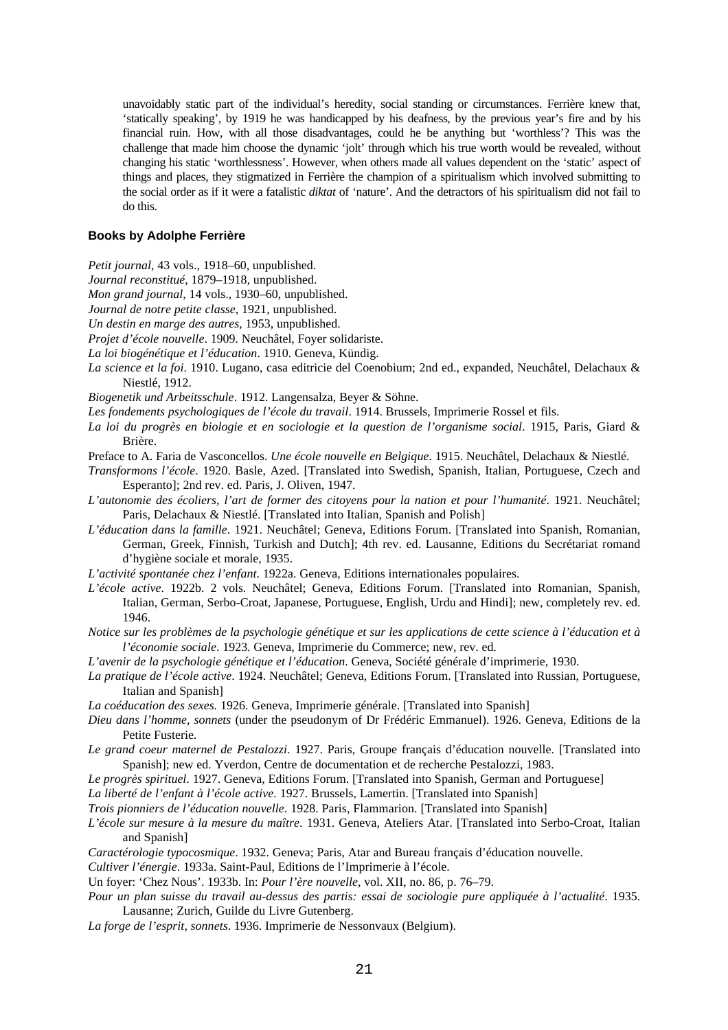unavoidably static part of the individual's heredity, social standing or circumstances. Ferrière knew that, 'statically speaking', by 1919 he was handicapped by his deafness, by the previous year's fire and by his financial ruin. How, with all those disadvantages, could he be anything but 'worthless'? This was the challenge that made him choose the dynamic 'jolt' through which his true worth would be revealed, without changing his static 'worthlessness'. However, when others made all values dependent on the 'static' aspect of things and places, they stigmatized in Ferrière the champion of a spiritualism which involved submitting to the social order as if it were a fatalistic *diktat* of 'nature'. And the detractors of his spiritualism did not fail to do this.

#### **Books by Adolphe Ferrière**

- *Petit journal*, 43 vols., 1918–60, unpublished.
- *Journal reconstitué*, 1879–1918, unpublished.
- *Mon grand journal*, 14 vols., 1930–60, unpublished.
- *Journal de notre petite classe*, 1921, unpublished.
- *Un destin en marge des autres*, 1953, unpublished.
- *Projet d'école nouvelle*. 1909. Neuchâtel, Foyer solidariste.
- *La loi biogénétique et l'éducation*. 1910. Geneva, Kündig.
- *La science et la foi*. 1910. Lugano, casa editricie del Coenobium; 2nd ed., expanded, Neuchâtel, Delachaux & Niestlé, 1912.
- *Biogenetik und Arbeitsschule*. 1912. Langensalza, Beyer & Söhne.
- *Les fondements psychologiques de l'école du travail*. 1914. Brussels, Imprimerie Rossel et fils.
- *La loi du progrès en biologie et en sociologie et la question de l'organisme social*. 1915, Paris, Giard & Brière.
- Preface to A. Faria de Vasconcellos. *Une école nouvelle en Belgique*. 1915. Neuchâtel, Delachaux & Niestlé.
- *Transformons l'école*. 1920. Basle, Azed. [Translated into Swedish, Spanish, Italian, Portuguese, Czech and Esperanto]; 2nd rev. ed. Paris, J. Oliven, 1947.
- *L'autonomie des écoliers, l'art de former des citoyens pour la nation et pour l'humanité*. 1921. Neuchâtel; Paris, Delachaux & Niestlé. [Translated into Italian, Spanish and Polish]
- *L'éducation dans la famille*. 1921. Neuchâtel; Geneva, Editions Forum. [Translated into Spanish, Romanian, German, Greek, Finnish, Turkish and Dutch]; 4th rev. ed. Lausanne, Editions du Secrétariat romand d'hygiène sociale et morale, 1935.
- *L'activité spontanée chez l'enfant*. 1922a. Geneva, Editions internationales populaires.
- *L'école active*. 1922b. 2 vols. Neuchâtel; Geneva, Editions Forum. [Translated into Romanian, Spanish, Italian, German, Serbo-Croat, Japanese, Portuguese, English, Urdu and Hindi]; new, completely rev. ed. 1946.
- *Notice sur les problèmes de la psychologie génétique et sur les applications de cette science à l'éducation et à l'économie sociale*. 1923. Geneva, Imprimerie du Commerce; new, rev. ed.
- *L'avenir de la psychologie génétique et l'éducation*. Geneva, Société générale d'imprimerie, 1930.
- *La pratique de l'école active*. 1924. Neuchâtel; Geneva, Editions Forum. [Translated into Russian, Portuguese, Italian and Spanish]
- *La coéducation des sexes.* 1926. Geneva, Imprimerie générale. [Translated into Spanish]
- *Dieu dans l'homme, sonnets* (under the pseudonym of Dr Frédéric Emmanuel). 1926. Geneva, Editions de la Petite Fusterie.
- *Le grand coeur maternel de Pestalozzi*. 1927. Paris, Groupe français d'éducation nouvelle. [Translated into Spanish]; new ed. Yverdon, Centre de documentation et de recherche Pestalozzi, 1983.
- *Le progrès spirituel*. 1927. Geneva, Editions Forum. [Translated into Spanish, German and Portuguese]
- *La liberté de l'enfant à l'école active*. 1927. Brussels, Lamertin. [Translated into Spanish]

*Trois pionniers de l'éducation nouvelle*. 1928. Paris, Flammarion. [Translated into Spanish]

- *L'école sur mesure à la mesure du maître*. 1931. Geneva, Ateliers Atar. [Translated into Serbo-Croat, Italian and Spanish]
- *Caractérologie typocosmique*. 1932. Geneva; Paris, Atar and Bureau français d'éducation nouvelle.
- *Cultiver l'énergie*. 1933a. Saint-Paul, Editions de l'Imprimerie à l'école.

- *Pour un plan suisse du travail au-dessus des partis: essai de sociologie pure appliquée à l'actualité*. 1935. Lausanne; Zurich, Guilde du Livre Gutenberg.
- *La forge de l'esprit, sonnets*. 1936. Imprimerie de Nessonvaux (Belgium).

Un foyer: 'Chez Nous'. 1933b. In: *Pour l'ère nouvelle*, vol. XII, no. 86, p. 76–79.